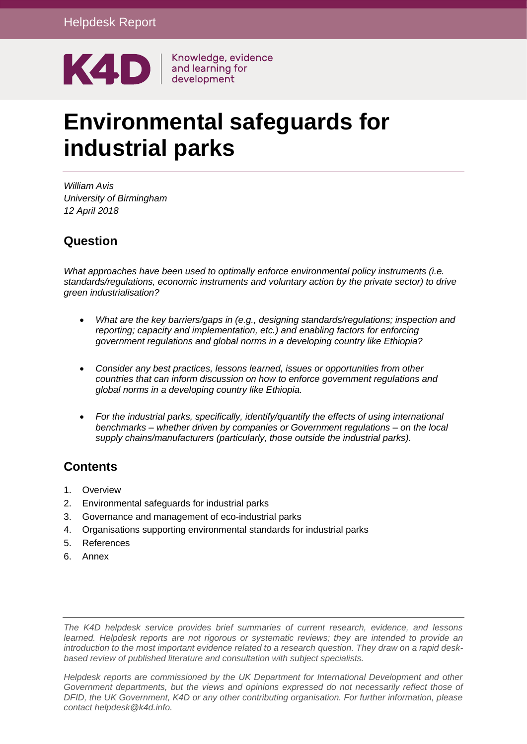

# **Environmental safeguards for industrial parks**

*William Avis University of Birmingham 12 April 2018*

### **Question**

*What approaches have been used to optimally enforce environmental policy instruments (i.e. standards/regulations, economic instruments and voluntary action by the private sector) to drive green industrialisation?*

- *What are the key barriers/gaps in (e.g., designing standards/regulations; inspection and reporting; capacity and implementation, etc.) and enabling factors for enforcing government regulations and global norms in a developing country like Ethiopia?*
- *Consider any best practices, lessons learned, issues or opportunities from other countries that can inform discussion on how to enforce government regulations and global norms in a developing country like Ethiopia.*
- *For the industrial parks, specifically, identify/quantify the effects of using international benchmarks – whether driven by companies or Government regulations – on the local supply chains/manufacturers (particularly, those outside the industrial parks).*

#### **Contents**

- 1. [Overview](#page-1-0)
- 2. Environmental [safeguards for industrial parks](#page-2-0)
- 3. [Governance and management of eco-industrial parks](#page-14-0)
- 4. [Organisations supporting environmental standards for industrial parks](#page-23-0)
- 5. [References](#page-25-0)
- 6. [Annex](#page-27-0)

*The K4D helpdesk service provides brief summaries of current research, evidence, and lessons learned. Helpdesk reports are not rigorous or systematic reviews; they are intended to provide an introduction to the most important evidence related to a research question. They draw on a rapid deskbased review of published literature and consultation with subject specialists.* 

*Helpdesk reports are commissioned by the UK Department for International Development and other Government departments, but the views and opinions expressed do not necessarily reflect those of DFID, the UK Government, K4D or any other contributing organisation. For further information, please contact helpdesk@k4d.info.*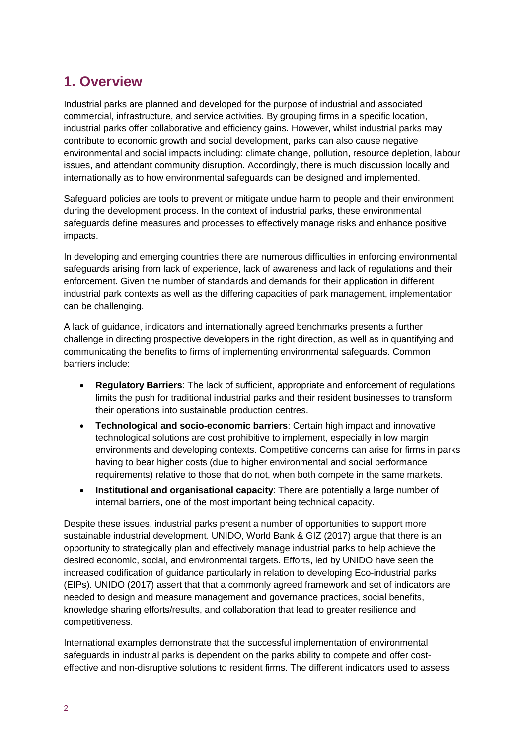# <span id="page-1-0"></span>**1. Overview**

Industrial parks are planned and developed for the purpose of industrial and associated commercial, infrastructure, and service activities. By grouping firms in a specific location, industrial parks offer collaborative and efficiency gains. However, whilst industrial parks may contribute to economic growth and social development, parks can also cause negative environmental and social impacts including: climate change, pollution, resource depletion, labour issues, and attendant community disruption. Accordingly, there is much discussion locally and internationally as to how environmental safeguards can be designed and implemented.

Safeguard policies are tools to prevent or mitigate undue harm to people and their environment during the development process. In the context of industrial parks, these environmental safeguards define measures and processes to effectively manage risks and enhance positive impacts.

In developing and emerging countries there are numerous difficulties in enforcing environmental safeguards arising from lack of experience, lack of awareness and lack of regulations and their enforcement. Given the number of standards and demands for their application in different industrial park contexts as well as the differing capacities of park management, implementation can be challenging.

A lack of guidance, indicators and internationally agreed benchmarks presents a further challenge in directing prospective developers in the right direction, as well as in quantifying and communicating the benefits to firms of implementing environmental safeguards. Common barriers include:

- **Regulatory Barriers**: The lack of sufficient, appropriate and enforcement of regulations limits the push for traditional industrial parks and their resident businesses to transform their operations into sustainable production centres.
- **Technological and socio-economic barriers**: Certain high impact and innovative technological solutions are cost prohibitive to implement, especially in low margin environments and developing contexts. Competitive concerns can arise for firms in parks having to bear higher costs (due to higher environmental and social performance requirements) relative to those that do not, when both compete in the same markets.
- **Institutional and organisational capacity**: There are potentially a large number of internal barriers, one of the most important being technical capacity.

Despite these issues, industrial parks present a number of opportunities to support more sustainable industrial development. UNIDO, World Bank & GIZ (2017) argue that there is an opportunity to strategically plan and effectively manage industrial parks to help achieve the desired economic, social, and environmental targets. Efforts, led by UNIDO have seen the increased codification of guidance particularly in relation to developing Eco-industrial parks (EIPs). UNIDO (2017) assert that that a commonly agreed framework and set of indicators are needed to design and measure management and governance practices, social benefits, knowledge sharing efforts/results, and collaboration that lead to greater resilience and competitiveness.

International examples demonstrate that the successful implementation of environmental safeguards in industrial parks is dependent on the parks ability to compete and offer costeffective and non-disruptive solutions to resident firms. The different indicators used to assess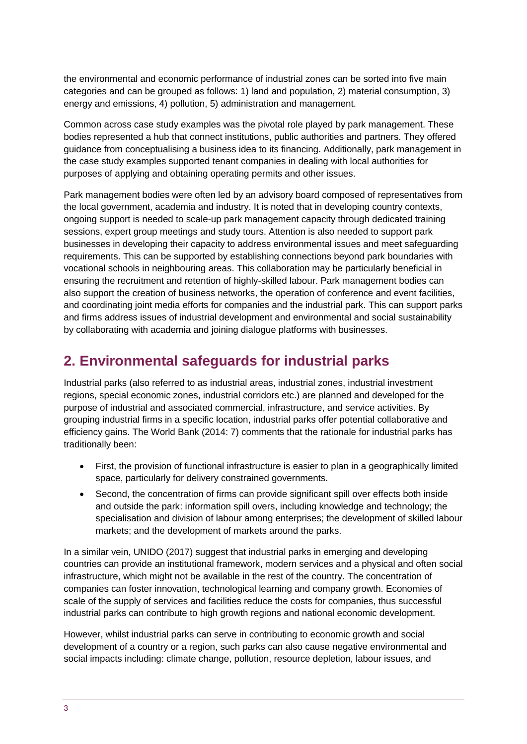the environmental and economic performance of industrial zones can be sorted into five main categories and can be grouped as follows: 1) land and population, 2) material consumption, 3) energy and emissions, 4) pollution, 5) administration and management.

Common across case study examples was the pivotal role played by park management. These bodies represented a hub that connect institutions, public authorities and partners. They offered guidance from conceptualising a business idea to its financing. Additionally, park management in the case study examples supported tenant companies in dealing with local authorities for purposes of applying and obtaining operating permits and other issues.

Park management bodies were often led by an advisory board composed of representatives from the local government, academia and industry. It is noted that in developing country contexts, ongoing support is needed to scale-up park management capacity through dedicated training sessions, expert group meetings and study tours. Attention is also needed to support park businesses in developing their capacity to address environmental issues and meet safeguarding requirements. This can be supported by establishing connections beyond park boundaries with vocational schools in neighbouring areas. This collaboration may be particularly beneficial in ensuring the recruitment and retention of highly-skilled labour. Park management bodies can also support the creation of business networks, the operation of conference and event facilities, and coordinating joint media efforts for companies and the industrial park. This can support parks and firms address issues of industrial development and environmental and social sustainability by collaborating with academia and joining dialogue platforms with businesses.

# <span id="page-2-0"></span>**2. Environmental safeguards for industrial parks**

Industrial parks (also referred to as industrial areas, industrial zones, industrial investment regions, special economic zones, industrial corridors etc.) are planned and developed for the purpose of industrial and associated commercial, infrastructure, and service activities. By grouping industrial firms in a specific location, industrial parks offer potential collaborative and efficiency gains. The World Bank (2014: 7) comments that the rationale for industrial parks has traditionally been:

- First, the provision of functional infrastructure is easier to plan in a geographically limited space, particularly for delivery constrained governments.
- Second, the concentration of firms can provide significant spill over effects both inside and outside the park: information spill overs, including knowledge and technology; the specialisation and division of labour among enterprises; the development of skilled labour markets; and the development of markets around the parks.

In a similar vein, UNIDO (2017) suggest that industrial parks in emerging and developing countries can provide an institutional framework, modern services and a physical and often social infrastructure, which might not be available in the rest of the country. The concentration of companies can foster innovation, technological learning and company growth. Economies of scale of the supply of services and facilities reduce the costs for companies, thus successful industrial parks can contribute to high growth regions and national economic development.

However, whilst industrial parks can serve in contributing to economic growth and social development of a country or a region, such parks can also cause negative environmental and social impacts including: climate change, pollution, resource depletion, labour issues, and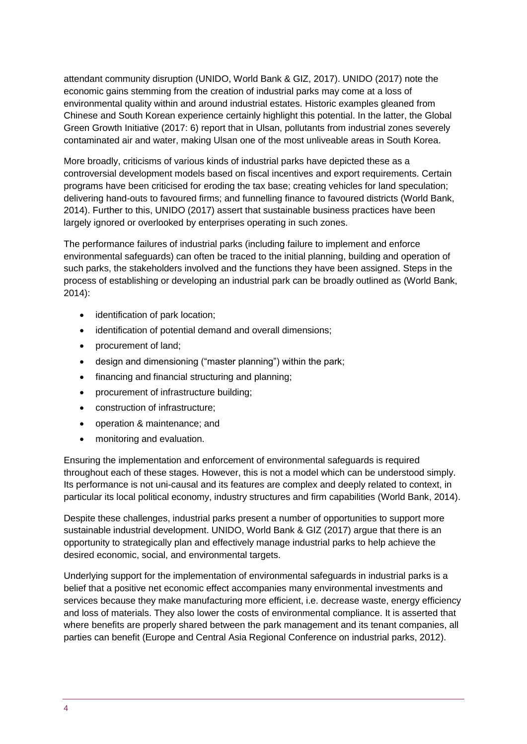attendant community disruption (UNIDO, World Bank & GIZ, 2017). UNIDO (2017) note the economic gains stemming from the creation of industrial parks may come at a loss of environmental quality within and around industrial estates. Historic examples gleaned from Chinese and South Korean experience certainly highlight this potential. In the latter, the Global Green Growth Initiative (2017: 6) report that in Ulsan, pollutants from industrial zones severely contaminated air and water, making Ulsan one of the most unliveable areas in South Korea.

More broadly, criticisms of various kinds of industrial parks have depicted these as a controversial development models based on fiscal incentives and export requirements. Certain programs have been criticised for eroding the tax base; creating vehicles for land speculation; delivering hand-outs to favoured firms; and funnelling finance to favoured districts (World Bank, 2014). Further to this, UNIDO (2017) assert that sustainable business practices have been largely ignored or overlooked by enterprises operating in such zones.

The performance failures of industrial parks (including failure to implement and enforce environmental safeguards) can often be traced to the initial planning, building and operation of such parks, the stakeholders involved and the functions they have been assigned. Steps in the process of establishing or developing an industrial park can be broadly outlined as (World Bank, 2014):

- identification of park location;
- identification of potential demand and overall dimensions;
- procurement of land;
- design and dimensioning ("master planning") within the park;
- financing and financial structuring and planning;
- procurement of infrastructure building:
- construction of infrastructure;
- operation & maintenance; and
- monitoring and evaluation.

Ensuring the implementation and enforcement of environmental safeguards is required throughout each of these stages. However, this is not a model which can be understood simply. Its performance is not uni-causal and its features are complex and deeply related to context, in particular its local political economy, industry structures and firm capabilities (World Bank, 2014).

Despite these challenges, industrial parks present a number of opportunities to support more sustainable industrial development. UNIDO, World Bank & GIZ (2017) argue that there is an opportunity to strategically plan and effectively manage industrial parks to help achieve the desired economic, social, and environmental targets.

Underlying support for the implementation of environmental safeguards in industrial parks is a belief that a positive net economic effect accompanies many environmental investments and services because they make manufacturing more efficient, i.e. decrease waste, energy efficiency and loss of materials. They also lower the costs of environmental compliance. It is asserted that where benefits are properly shared between the park management and its tenant companies, all parties can benefit (Europe and Central Asia Regional Conference on industrial parks, 2012).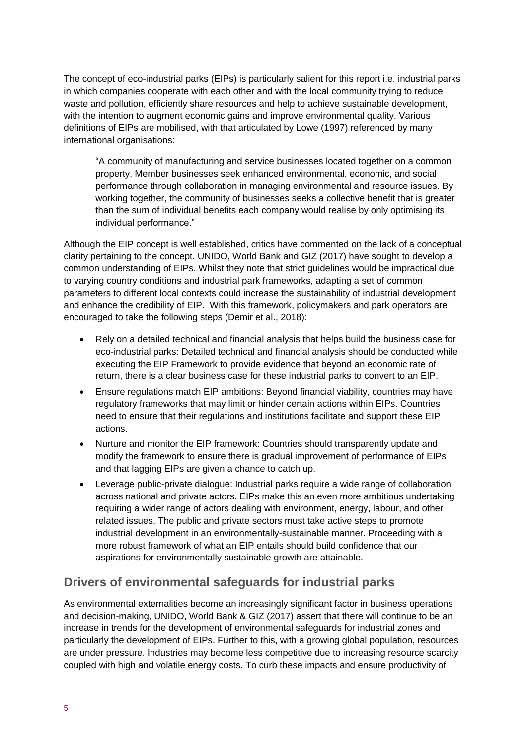The concept of eco-industrial parks (EIPs) is particularly salient for this report i.e. industrial parks in which companies cooperate with each other and with the local community trying to reduce waste and pollution, efficiently share resources and help to achieve sustainable development, with the intention to augment economic gains and improve environmental quality. Various definitions of EIPs are mobilised, with that articulated by Lowe (1997) referenced by many international organisations:

"A community of manufacturing and service businesses located together on a common property. Member businesses seek enhanced environmental, economic, and social performance through collaboration in managing environmental and resource issues. By working together, the community of businesses seeks a collective benefit that is greater than the sum of individual benefits each company would realise by only optimising its individual performance."

Although the EIP concept is well established, critics have commented on the lack of a conceptual clarity pertaining to the concept. UNIDO, World Bank and GIZ (2017) have sought to develop a common understanding of EIPs. Whilst they note that strict guidelines would be impractical due to varying country conditions and industrial park frameworks, adapting a set of common parameters to different local contexts could increase the sustainability of industrial development and enhance the credibility of EIP. With this framework, policymakers and park operators are encouraged to take the following steps (Demir et al., 2018):

- Rely on a detailed technical and financial analysis that helps build the business case for eco-industrial parks: Detailed technical and financial analysis should be conducted while executing the EIP Framework to provide evidence that beyond an economic rate of return, there is a clear business case for these industrial parks to convert to an EIP.
- Ensure regulations match EIP ambitions: Beyond financial viability, countries may have regulatory frameworks that may limit or hinder certain actions within EIPs. Countries need to ensure that their regulations and institutions facilitate and support these EIP actions.
- Nurture and monitor the EIP framework: Countries should transparently update and modify the framework to ensure there is gradual improvement of performance of EIPs and that lagging EIPs are given a chance to catch up.
- Leverage public-private dialogue: Industrial parks require a wide range of collaboration across national and private actors. EIPs make this an even more ambitious undertaking requiring a wider range of actors dealing with environment, energy, labour, and other related issues. The public and private sectors must take active steps to promote industrial development in an environmentally-sustainable manner. Proceeding with a more robust framework of what an EIP entails should build confidence that our aspirations for environmentally sustainable growth are attainable.

### **Drivers of environmental safeguards for industrial parks**

As environmental externalities become an increasingly significant factor in business operations and decision-making, UNIDO, World Bank & GIZ (2017) assert that there will continue to be an increase in trends for the development of environmental safeguards for industrial zones and particularly the development of EIPs. Further to this, with a growing global population, resources are under pressure. Industries may become less competitive due to increasing resource scarcity coupled with high and volatile energy costs. To curb these impacts and ensure productivity of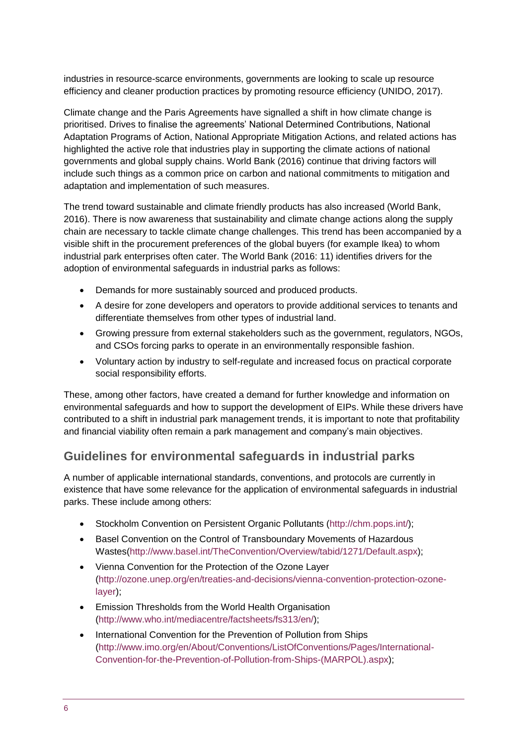industries in resource-scarce environments, governments are looking to scale up resource efficiency and cleaner production practices by promoting resource efficiency (UNIDO, 2017).

Climate change and the Paris Agreements have signalled a shift in how climate change is prioritised. Drives to finalise the agreements' National Determined Contributions, National Adaptation Programs of Action, National Appropriate Mitigation Actions, and related actions has highlighted the active role that industries play in supporting the climate actions of national governments and global supply chains. World Bank (2016) continue that driving factors will include such things as a common price on carbon and national commitments to mitigation and adaptation and implementation of such measures.

The trend toward sustainable and climate friendly products has also increased (World Bank, 2016). There is now awareness that sustainability and climate change actions along the supply chain are necessary to tackle climate change challenges. This trend has been accompanied by a visible shift in the procurement preferences of the global buyers (for example Ikea) to whom industrial park enterprises often cater. The World Bank (2016: 11) identifies drivers for the adoption of environmental safeguards in industrial parks as follows:

- Demands for more sustainably sourced and produced products.
- A desire for zone developers and operators to provide additional services to tenants and differentiate themselves from other types of industrial land.
- Growing pressure from external stakeholders such as the government, regulators, NGOs, and CSOs forcing parks to operate in an environmentally responsible fashion.
- Voluntary action by industry to self-regulate and increased focus on practical corporate social responsibility efforts.

These, among other factors, have created a demand for further knowledge and information on environmental safeguards and how to support the development of EIPs. While these drivers have contributed to a shift in industrial park management trends, it is important to note that profitability and financial viability often remain a park management and company's main objectives.

### **Guidelines for environmental safeguards in industrial parks**

A number of applicable international standards, conventions, and protocols are currently in existence that have some relevance for the application of environmental safeguards in industrial parks. These include among others:

- Stockholm Convention on Persistent Organic Pollutants [\(http://chm.pops.int/\)](http://chm.pops.int/);
- Basel Convention on the Control of Transboundary Movements of Hazardous Wastes[\(http://www.basel.int/TheConvention/Overview/tabid/1271/Default.aspx\)](http://www.basel.int/TheConvention/Overview/tabid/1271/Default.aspx);
- Vienna Convention for the Protection of the Ozone Layer [\(http://ozone.unep.org/en/treaties-and-decisions/vienna-convention-protection-ozone](http://ozone.unep.org/en/treaties-and-decisions/vienna-convention-protection-ozone-layer)[layer\)](http://ozone.unep.org/en/treaties-and-decisions/vienna-convention-protection-ozone-layer);
- Emission Thresholds from the World Health Organisation [\(http://www.who.int/mediacentre/factsheets/fs313/en/\)](http://www.who.int/mediacentre/factsheets/fs313/en/);
- International Convention for the Prevention of Pollution from Ships [\(http://www.imo.org/en/About/Conventions/ListOfConventions/Pages/International-](http://www.imo.org/en/About/Conventions/ListOfConventions/Pages/International-Convention-for-the-Prevention-of-Pollution-from-Ships-(MARPOL).aspx)[Convention-for-the-Prevention-of-Pollution-from-Ships-\(MARPOL\).aspx\)](http://www.imo.org/en/About/Conventions/ListOfConventions/Pages/International-Convention-for-the-Prevention-of-Pollution-from-Ships-(MARPOL).aspx);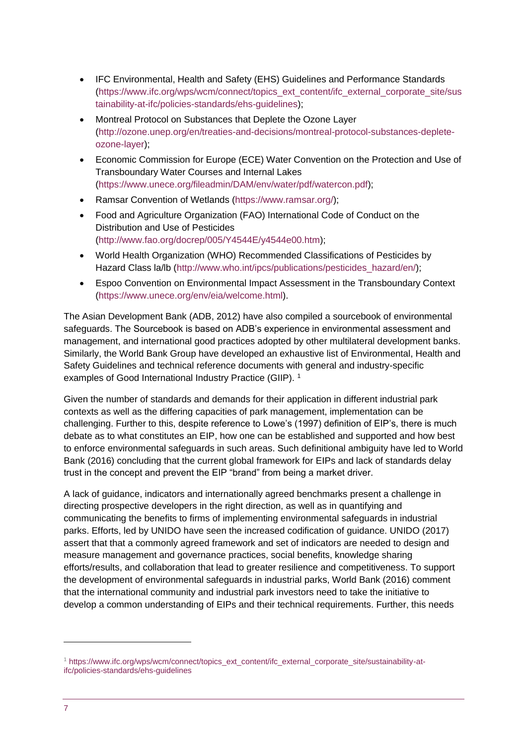- IFC Environmental, Health and Safety (EHS) Guidelines and Performance Standards [\(https://www.ifc.org/wps/wcm/connect/topics\\_ext\\_content/ifc\\_external\\_corporate\\_site/sus](https://www.ifc.org/wps/wcm/connect/topics_ext_content/ifc_external_corporate_site/sustainability-at-ifc/policies-standards/ehs-guidelines) [tainability-at-ifc/policies-standards/ehs-guidelines\)](https://www.ifc.org/wps/wcm/connect/topics_ext_content/ifc_external_corporate_site/sustainability-at-ifc/policies-standards/ehs-guidelines);
- Montreal Protocol on Substances that Deplete the Ozone Layer [\(http://ozone.unep.org/en/treaties-and-decisions/montreal-protocol-substances-deplete](http://ozone.unep.org/en/treaties-and-decisions/montreal-protocol-substances-deplete-ozone-layer)[ozone-layer\)](http://ozone.unep.org/en/treaties-and-decisions/montreal-protocol-substances-deplete-ozone-layer);
- Economic Commission for Europe (ECE) Water Convention on the Protection and Use of Transboundary Water Courses and Internal Lakes [\(https://www.unece.org/fileadmin/DAM/env/water/pdf/watercon.pdf\)](https://www.unece.org/fileadmin/DAM/env/water/pdf/watercon.pdf);
- Ramsar Convention of Wetlands [\(https://www.ramsar.org/\)](https://www.ramsar.org/);
- Food and Agriculture Organization (FAO) International Code of Conduct on the Distribution and Use of Pesticides [\(http://www.fao.org/docrep/005/Y4544E/y4544e00.htm\)](http://www.fao.org/docrep/005/Y4544E/y4544e00.htm);
- World Health Organization (WHO) Recommended Classifications of Pesticides by Hazard Class la/lb [\(http://www.who.int/ipcs/publications/pesticides\\_hazard/en/\)](http://www.who.int/ipcs/publications/pesticides_hazard/en/);
- Espoo Convention on Environmental Impact Assessment in the Transboundary Context [\(https://www.unece.org/env/eia/welcome.html\)](https://www.unece.org/env/eia/welcome.html).

The Asian Development Bank (ADB, 2012) have also compiled a sourcebook of environmental safeguards. The Sourcebook is based on ADB's experience in environmental assessment and management, and international good practices adopted by other multilateral development banks. Similarly, the World Bank Group have developed an exhaustive list of Environmental, Health and Safety Guidelines and technical reference documents with general and industry-specific examples of Good International Industry Practice (GIIP).<sup>1</sup>

Given the number of standards and demands for their application in different industrial park contexts as well as the differing capacities of park management, implementation can be challenging. Further to this, despite reference to Lowe's (1997) definition of EIP's, there is much debate as to what constitutes an EIP, how one can be established and supported and how best to enforce environmental safeguards in such areas. Such definitional ambiguity have led to World Bank (2016) concluding that the current global framework for EIPs and lack of standards delay trust in the concept and prevent the EIP "brand" from being a market driver.

A lack of guidance, indicators and internationally agreed benchmarks present a challenge in directing prospective developers in the right direction, as well as in quantifying and communicating the benefits to firms of implementing environmental safeguards in industrial parks. Efforts, led by UNIDO have seen the increased codification of guidance. UNIDO (2017) assert that that a commonly agreed framework and set of indicators are needed to design and measure management and governance practices, social benefits, knowledge sharing efforts/results, and collaboration that lead to greater resilience and competitiveness. To support the development of environmental safeguards in industrial parks, World Bank (2016) comment that the international community and industrial park investors need to take the initiative to develop a common understanding of EIPs and their technical requirements. Further, this needs

-

<sup>1</sup> [https://www.ifc.org/wps/wcm/connect/topics\\_ext\\_content/ifc\\_external\\_corporate\\_site/sustainability-at](https://www.ifc.org/wps/wcm/connect/topics_ext_content/ifc_external_corporate_site/sustainability-at-ifc/policies-standards/ehs-guidelines)[ifc/policies-standards/ehs-guidelines](https://www.ifc.org/wps/wcm/connect/topics_ext_content/ifc_external_corporate_site/sustainability-at-ifc/policies-standards/ehs-guidelines)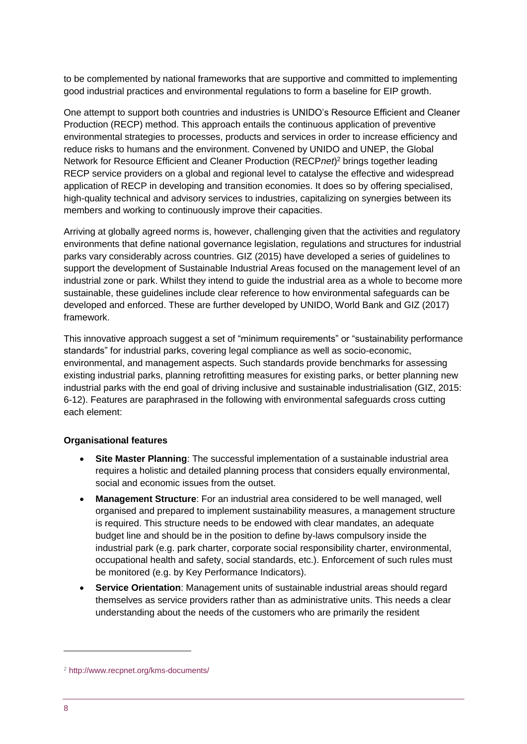to be complemented by national frameworks that are supportive and committed to implementing good industrial practices and environmental regulations to form a baseline for EIP growth.

One attempt to support both countries and industries is UNIDO's Resource Efficient and Cleaner Production (RECP) method. This approach entails the continuous application of preventive environmental strategies to processes, products and services in order to increase efficiency and reduce risks to humans and the environment. Convened by UNIDO and UNEP, the Global Network for Resource Efficient and Cleaner Production (RECP*net*) <sup>2</sup> brings together leading RECP service providers on a global and regional level to catalyse the effective and widespread application of RECP in developing and transition economies. It does so by offering specialised, high-quality technical and advisory services to industries, capitalizing on synergies between its members and working to continuously improve their capacities.

Arriving at globally agreed norms is, however, challenging given that the activities and regulatory environments that define national governance legislation, regulations and structures for industrial parks vary considerably across countries. GIZ (2015) have developed a series of guidelines to support the development of Sustainable Industrial Areas focused on the management level of an industrial zone or park. Whilst they intend to guide the industrial area as a whole to become more sustainable, these guidelines include clear reference to how environmental safeguards can be developed and enforced. These are further developed by UNIDO, World Bank and GIZ (2017) framework.

This innovative approach suggest a set of "minimum requirements" or "sustainability performance standards" for industrial parks, covering legal compliance as well as socio-economic, environmental, and management aspects. Such standards provide benchmarks for assessing existing industrial parks, planning retrofitting measures for existing parks, or better planning new industrial parks with the end goal of driving inclusive and sustainable industrialisation (GIZ, 2015: 6-12). Features are paraphrased in the following with environmental safeguards cross cutting each element:

#### **Organisational features**

- **Site Master Planning**: The successful implementation of a sustainable industrial area requires a holistic and detailed planning process that considers equally environmental, social and economic issues from the outset.
- **Management Structure**: For an industrial area considered to be well managed, well organised and prepared to implement sustainability measures, a management structure is required. This structure needs to be endowed with clear mandates, an adequate budget line and should be in the position to define by-laws compulsory inside the industrial park (e.g. park charter, corporate social responsibility charter, environmental, occupational health and safety, social standards, etc.). Enforcement of such rules must be monitored (e.g. by Key Performance Indicators).
- **Service Orientation:** Management units of sustainable industrial areas should regard themselves as service providers rather than as administrative units. This needs a clear understanding about the needs of the customers who are primarily the resident

-

<sup>2</sup> <http://www.recpnet.org/kms-documents/>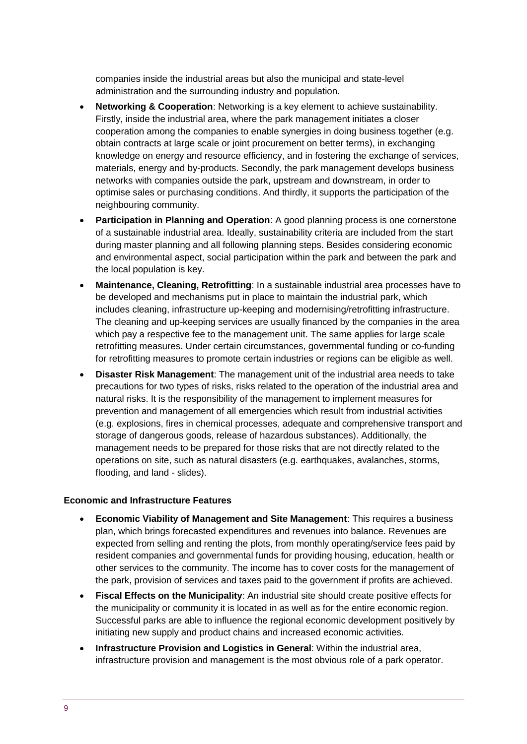companies inside the industrial areas but also the municipal and state-level administration and the surrounding industry and population.

- **Networking & Cooperation**: Networking is a key element to achieve sustainability. Firstly, inside the industrial area, where the park management initiates a closer cooperation among the companies to enable synergies in doing business together (e.g. obtain contracts at large scale or joint procurement on better terms), in exchanging knowledge on energy and resource efficiency, and in fostering the exchange of services, materials, energy and by-products. Secondly, the park management develops business networks with companies outside the park, upstream and downstream, in order to optimise sales or purchasing conditions. And thirdly, it supports the participation of the neighbouring community.
- **Participation in Planning and Operation**: A good planning process is one cornerstone of a sustainable industrial area. Ideally, sustainability criteria are included from the start during master planning and all following planning steps. Besides considering economic and environmental aspect, social participation within the park and between the park and the local population is key.
- **Maintenance, Cleaning, Retrofitting**: In a sustainable industrial area processes have to be developed and mechanisms put in place to maintain the industrial park, which includes cleaning, infrastructure up-keeping and modernising/retrofitting infrastructure. The cleaning and up-keeping services are usually financed by the companies in the area which pay a respective fee to the management unit. The same applies for large scale retrofitting measures. Under certain circumstances, governmental funding or co-funding for retrofitting measures to promote certain industries or regions can be eligible as well.
- **Disaster Risk Management**: The management unit of the industrial area needs to take precautions for two types of risks, risks related to the operation of the industrial area and natural risks. It is the responsibility of the management to implement measures for prevention and management of all emergencies which result from industrial activities (e.g. explosions, fires in chemical processes, adequate and comprehensive transport and storage of dangerous goods, release of hazardous substances). Additionally, the management needs to be prepared for those risks that are not directly related to the operations on site, such as natural disasters (e.g. earthquakes, avalanches, storms, flooding, and land - slides).

#### **Economic and Infrastructure Features**

- **Economic Viability of Management and Site Management**: This requires a business plan, which brings forecasted expenditures and revenues into balance. Revenues are expected from selling and renting the plots, from monthly operating/service fees paid by resident companies and governmental funds for providing housing, education, health or other services to the community. The income has to cover costs for the management of the park, provision of services and taxes paid to the government if profits are achieved.
- **Fiscal Effects on the Municipality**: An industrial site should create positive effects for the municipality or community it is located in as well as for the entire economic region. Successful parks are able to influence the regional economic development positively by initiating new supply and product chains and increased economic activities.
- **Infrastructure Provision and Logistics in General**: Within the industrial area, infrastructure provision and management is the most obvious role of a park operator.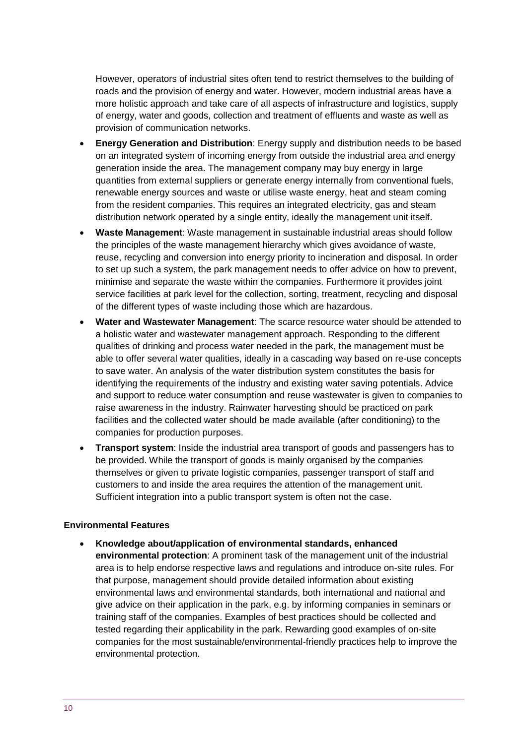However, operators of industrial sites often tend to restrict themselves to the building of roads and the provision of energy and water. However, modern industrial areas have a more holistic approach and take care of all aspects of infrastructure and logistics, supply of energy, water and goods, collection and treatment of effluents and waste as well as provision of communication networks.

- **Energy Generation and Distribution**: Energy supply and distribution needs to be based on an integrated system of incoming energy from outside the industrial area and energy generation inside the area. The management company may buy energy in large quantities from external suppliers or generate energy internally from conventional fuels, renewable energy sources and waste or utilise waste energy, heat and steam coming from the resident companies. This requires an integrated electricity, gas and steam distribution network operated by a single entity, ideally the management unit itself.
- **Waste Management**: Waste management in sustainable industrial areas should follow the principles of the waste management hierarchy which gives avoidance of waste, reuse, recycling and conversion into energy priority to incineration and disposal. In order to set up such a system, the park management needs to offer advice on how to prevent, minimise and separate the waste within the companies. Furthermore it provides joint service facilities at park level for the collection, sorting, treatment, recycling and disposal of the different types of waste including those which are hazardous.
- **Water and Wastewater Management**: The scarce resource water should be attended to a holistic water and wastewater management approach. Responding to the different qualities of drinking and process water needed in the park, the management must be able to offer several water qualities, ideally in a cascading way based on re-use concepts to save water. An analysis of the water distribution system constitutes the basis for identifying the requirements of the industry and existing water saving potentials. Advice and support to reduce water consumption and reuse wastewater is given to companies to raise awareness in the industry. Rainwater harvesting should be practiced on park facilities and the collected water should be made available (after conditioning) to the companies for production purposes.
- **Transport system**: Inside the industrial area transport of goods and passengers has to be provided. While the transport of goods is mainly organised by the companies themselves or given to private logistic companies, passenger transport of staff and customers to and inside the area requires the attention of the management unit. Sufficient integration into a public transport system is often not the case.

#### **Environmental Features**

 **Knowledge about/application of environmental standards, enhanced environmental protection**: A prominent task of the management unit of the industrial area is to help endorse respective laws and regulations and introduce on-site rules. For that purpose, management should provide detailed information about existing environmental laws and environmental standards, both international and national and give advice on their application in the park, e.g. by informing companies in seminars or training staff of the companies. Examples of best practices should be collected and tested regarding their applicability in the park. Rewarding good examples of on-site companies for the most sustainable/environmental-friendly practices help to improve the environmental protection.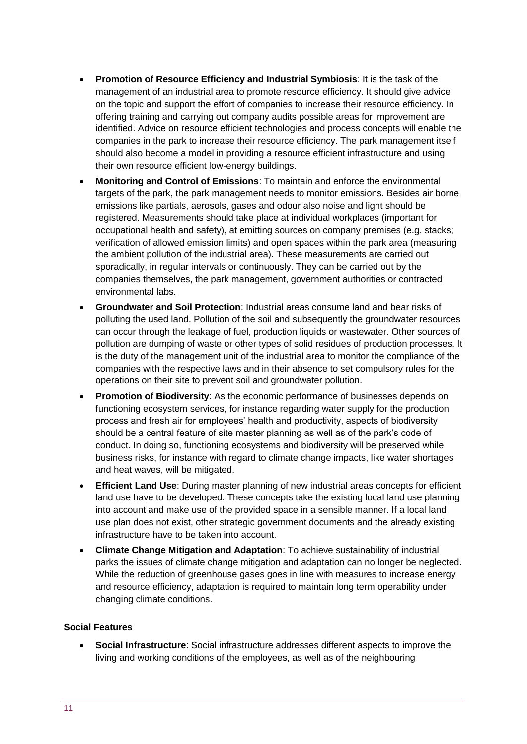- **Promotion of Resource Efficiency and Industrial Symbiosis**: It is the task of the management of an industrial area to promote resource efficiency. It should give advice on the topic and support the effort of companies to increase their resource efficiency. In offering training and carrying out company audits possible areas for improvement are identified. Advice on resource efficient technologies and process concepts will enable the companies in the park to increase their resource efficiency. The park management itself should also become a model in providing a resource efficient infrastructure and using their own resource efficient low-energy buildings.
- **Monitoring and Control of Emissions**: To maintain and enforce the environmental targets of the park, the park management needs to monitor emissions. Besides air borne emissions like partials, aerosols, gases and odour also noise and light should be registered. Measurements should take place at individual workplaces (important for occupational health and safety), at emitting sources on company premises (e.g. stacks; verification of allowed emission limits) and open spaces within the park area (measuring the ambient pollution of the industrial area). These measurements are carried out sporadically, in regular intervals or continuously. They can be carried out by the companies themselves, the park management, government authorities or contracted environmental labs.
- **Groundwater and Soil Protection**: Industrial areas consume land and bear risks of polluting the used land. Pollution of the soil and subsequently the groundwater resources can occur through the leakage of fuel, production liquids or wastewater. Other sources of pollution are dumping of waste or other types of solid residues of production processes. It is the duty of the management unit of the industrial area to monitor the compliance of the companies with the respective laws and in their absence to set compulsory rules for the operations on their site to prevent soil and groundwater pollution.
- **Promotion of Biodiversity**: As the economic performance of businesses depends on functioning ecosystem services, for instance regarding water supply for the production process and fresh air for employees' health and productivity, aspects of biodiversity should be a central feature of site master planning as well as of the park's code of conduct. In doing so, functioning ecosystems and biodiversity will be preserved while business risks, for instance with regard to climate change impacts, like water shortages and heat waves, will be mitigated.
- **Efficient Land Use**: During master planning of new industrial areas concepts for efficient land use have to be developed. These concepts take the existing local land use planning into account and make use of the provided space in a sensible manner. If a local land use plan does not exist, other strategic government documents and the already existing infrastructure have to be taken into account.
- **Climate Change Mitigation and Adaptation**: To achieve sustainability of industrial parks the issues of climate change mitigation and adaptation can no longer be neglected. While the reduction of greenhouse gases goes in line with measures to increase energy and resource efficiency, adaptation is required to maintain long term operability under changing climate conditions.

#### **Social Features**

 **Social Infrastructure**: Social infrastructure addresses different aspects to improve the living and working conditions of the employees, as well as of the neighbouring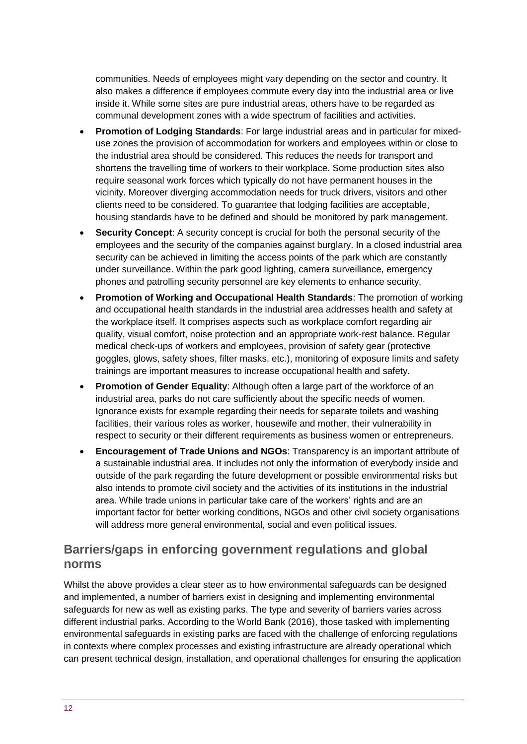communities. Needs of employees might vary depending on the sector and country. It also makes a difference if employees commute every day into the industrial area or live inside it. While some sites are pure industrial areas, others have to be regarded as communal development zones with a wide spectrum of facilities and activities.

- **Promotion of Lodging Standards**: For large industrial areas and in particular for mixeduse zones the provision of accommodation for workers and employees within or close to the industrial area should be considered. This reduces the needs for transport and shortens the travelling time of workers to their workplace. Some production sites also require seasonal work forces which typically do not have permanent houses in the vicinity. Moreover diverging accommodation needs for truck drivers, visitors and other clients need to be considered. To guarantee that lodging facilities are acceptable, housing standards have to be defined and should be monitored by park management.
- **Security Concept**: A security concept is crucial for both the personal security of the employees and the security of the companies against burglary. In a closed industrial area security can be achieved in limiting the access points of the park which are constantly under surveillance. Within the park good lighting, camera surveillance, emergency phones and patrolling security personnel are key elements to enhance security.
- **Promotion of Working and Occupational Health Standards**: The promotion of working and occupational health standards in the industrial area addresses health and safety at the workplace itself. It comprises aspects such as workplace comfort regarding air quality, visual comfort, noise protection and an appropriate work-rest balance. Regular medical check-ups of workers and employees, provision of safety gear (protective goggles, glows, safety shoes, filter masks, etc.), monitoring of exposure limits and safety trainings are important measures to increase occupational health and safety.
- **Promotion of Gender Equality:** Although often a large part of the workforce of an industrial area, parks do not care sufficiently about the specific needs of women. Ignorance exists for example regarding their needs for separate toilets and washing facilities, their various roles as worker, housewife and mother, their vulnerability in respect to security or their different requirements as business women or entrepreneurs.
- **Encouragement of Trade Unions and NGOs**: Transparency is an important attribute of a sustainable industrial area. It includes not only the information of everybody inside and outside of the park regarding the future development or possible environmental risks but also intends to promote civil society and the activities of its institutions in the industrial area. While trade unions in particular take care of the workers' rights and are an important factor for better working conditions, NGOs and other civil society organisations will address more general environmental, social and even political issues.

### **Barriers/gaps in enforcing government regulations and global norms**

Whilst the above provides a clear steer as to how environmental safeguards can be designed and implemented, a number of barriers exist in designing and implementing environmental safeguards for new as well as existing parks. The type and severity of barriers varies across different industrial parks. According to the World Bank (2016), those tasked with implementing environmental safeguards in existing parks are faced with the challenge of enforcing regulations in contexts where complex processes and existing infrastructure are already operational which can present technical design, installation, and operational challenges for ensuring the application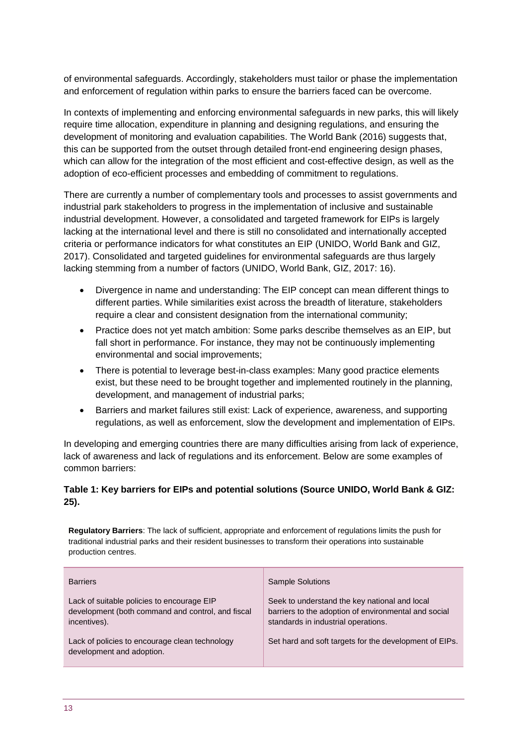of environmental safeguards. Accordingly, stakeholders must tailor or phase the implementation and enforcement of regulation within parks to ensure the barriers faced can be overcome.

In contexts of implementing and enforcing environmental safeguards in new parks, this will likely require time allocation, expenditure in planning and designing regulations, and ensuring the development of monitoring and evaluation capabilities. The World Bank (2016) suggests that, this can be supported from the outset through detailed front-end engineering design phases, which can allow for the integration of the most efficient and cost-effective design, as well as the adoption of eco-efficient processes and embedding of commitment to regulations.

There are currently a number of complementary tools and processes to assist governments and industrial park stakeholders to progress in the implementation of inclusive and sustainable industrial development. However, a consolidated and targeted framework for EIPs is largely lacking at the international level and there is still no consolidated and internationally accepted criteria or performance indicators for what constitutes an EIP (UNIDO, World Bank and GIZ, 2017). Consolidated and targeted guidelines for environmental safeguards are thus largely lacking stemming from a number of factors (UNIDO, World Bank, GIZ, 2017: 16).

- Divergence in name and understanding: The EIP concept can mean different things to different parties. While similarities exist across the breadth of literature, stakeholders require a clear and consistent designation from the international community;
- Practice does not yet match ambition: Some parks describe themselves as an EIP, but fall short in performance. For instance, they may not be continuously implementing environmental and social improvements;
- There is potential to leverage best-in-class examples: Many good practice elements exist, but these need to be brought together and implemented routinely in the planning, development, and management of industrial parks;
- Barriers and market failures still exist: Lack of experience, awareness, and supporting regulations, as well as enforcement, slow the development and implementation of EIPs.

In developing and emerging countries there are many difficulties arising from lack of experience, lack of awareness and lack of regulations and its enforcement. Below are some examples of common barriers:

#### **Table 1: Key barriers for EIPs and potential solutions (Source UNIDO, World Bank & GIZ: 25).**

**Regulatory Barriers**: The lack of sufficient, appropriate and enforcement of regulations limits the push for traditional industrial parks and their resident businesses to transform their operations into sustainable production centres.

| <b>Barriers</b>                                                                                                 | <b>Sample Solutions</b>                                                                                                                      |  |  |
|-----------------------------------------------------------------------------------------------------------------|----------------------------------------------------------------------------------------------------------------------------------------------|--|--|
| Lack of suitable policies to encourage EIP<br>development (both command and control, and fiscal<br>incentives). | Seek to understand the key national and local<br>barriers to the adoption of environmental and social<br>standards in industrial operations. |  |  |
| Lack of policies to encourage clean technology<br>development and adoption.                                     | Set hard and soft targets for the development of EIPs.                                                                                       |  |  |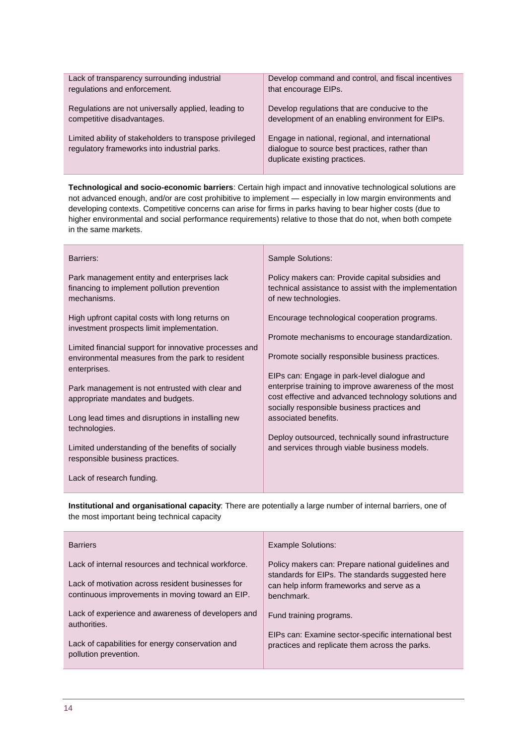| Lack of transparency surrounding industrial             | Develop command and control, and fiscal incentives |
|---------------------------------------------------------|----------------------------------------------------|
| regulations and enforcement.                            | that encourage EIPs.                               |
|                                                         |                                                    |
| Regulations are not universally applied, leading to     | Develop regulations that are conducive to the      |
| competitive disadvantages.                              | development of an enabling environment for EIPs.   |
|                                                         |                                                    |
| Limited ability of stakeholders to transpose privileged | Engage in national, regional, and international    |
| regulatory frameworks into industrial parks.            | dialogue to source best practices, rather than     |
|                                                         | duplicate existing practices.                      |
|                                                         |                                                    |

**Technological and socio-economic barriers**: Certain high impact and innovative technological solutions are not advanced enough, and/or are cost prohibitive to implement — especially in low margin environments and developing contexts. Competitive concerns can arise for firms in parks having to bear higher costs (due to higher environmental and social performance requirements) relative to those that do not, when both compete in the same markets.

| Barriers:                                                                                                 | Sample Solutions:                                                                                                                                           |
|-----------------------------------------------------------------------------------------------------------|-------------------------------------------------------------------------------------------------------------------------------------------------------------|
| Park management entity and enterprises lack<br>financing to implement pollution prevention<br>mechanisms. | Policy makers can: Provide capital subsidies and<br>technical assistance to assist with the implementation<br>of new technologies.                          |
| High upfront capital costs with long returns on<br>investment prospects limit implementation.             | Encourage technological cooperation programs.                                                                                                               |
| Limited financial support for innovative processes and                                                    | Promote mechanisms to encourage standardization.                                                                                                            |
| environmental measures from the park to resident<br>enterprises.                                          | Promote socially responsible business practices.                                                                                                            |
|                                                                                                           | EIPs can: Engage in park-level dialogue and                                                                                                                 |
| Park management is not entrusted with clear and<br>appropriate mandates and budgets.                      | enterprise training to improve awareness of the most<br>cost effective and advanced technology solutions and<br>socially responsible business practices and |
| Long lead times and disruptions in installing new<br>technologies.                                        | associated benefits.                                                                                                                                        |
|                                                                                                           | Deploy outsourced, technically sound infrastructure                                                                                                         |
| Limited understanding of the benefits of socially<br>responsible business practices.                      | and services through viable business models.                                                                                                                |
| Lack of research funding.                                                                                 |                                                                                                                                                             |

**Institutional and organisational capacity**: There are potentially a large number of internal barriers, one of the most important being technical capacity

| <b>Example Solutions:</b>                                                                              |  |  |  |
|--------------------------------------------------------------------------------------------------------|--|--|--|
| Policy makers can: Prepare national guidelines and<br>standards for EIPs. The standards suggested here |  |  |  |
| can help inform frameworks and serve as a<br>benchmark.                                                |  |  |  |
| Fund training programs.                                                                                |  |  |  |
| EIPs can: Examine sector-specific international best<br>practices and replicate them across the parks. |  |  |  |
|                                                                                                        |  |  |  |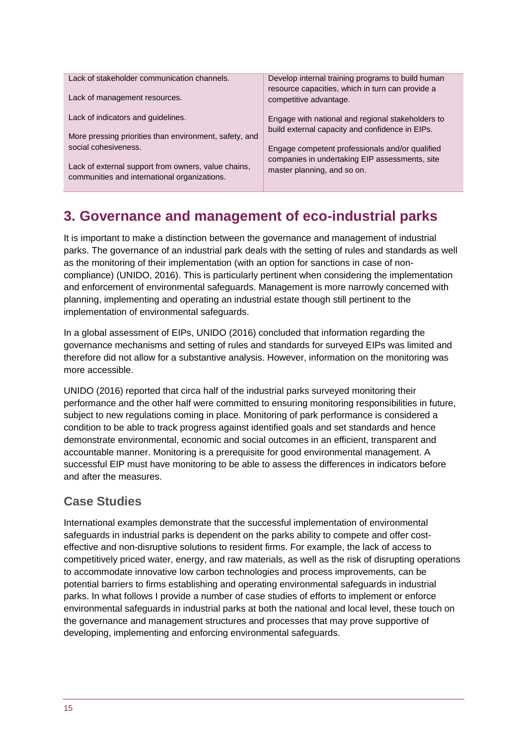| Lack of stakeholder communication channels.                                                         | Develop internal training programs to build human<br>resource capacities, which in turn can provide a |  |  |  |
|-----------------------------------------------------------------------------------------------------|-------------------------------------------------------------------------------------------------------|--|--|--|
| Lack of management resources.                                                                       | competitive advantage.                                                                                |  |  |  |
| Lack of indicators and guidelines.                                                                  | Engage with national and regional stakeholders to                                                     |  |  |  |
| More pressing priorities than environment, safety, and                                              | build external capacity and confidence in EIPs.                                                       |  |  |  |
| social cohesiveness.                                                                                | Engage competent professionals and/or qualified                                                       |  |  |  |
| Lack of external support from owners, value chains,<br>communities and international organizations. | companies in undertaking EIP assessments, site<br>master planning, and so on.                         |  |  |  |

# <span id="page-14-0"></span>**3. Governance and management of eco-industrial parks**

It is important to make a distinction between the governance and management of industrial parks. The governance of an industrial park deals with the setting of rules and standards as well as the monitoring of their implementation (with an option for sanctions in case of noncompliance) (UNIDO, 2016). This is particularly pertinent when considering the implementation and enforcement of environmental safeguards. Management is more narrowly concerned with planning, implementing and operating an industrial estate though still pertinent to the implementation of environmental safeguards.

In a global assessment of EIPs, UNIDO (2016) concluded that information regarding the governance mechanisms and setting of rules and standards for surveyed EIPs was limited and therefore did not allow for a substantive analysis. However, information on the monitoring was more accessible.

UNIDO (2016) reported that circa half of the industrial parks surveyed monitoring their performance and the other half were committed to ensuring monitoring responsibilities in future, subject to new regulations coming in place. Monitoring of park performance is considered a condition to be able to track progress against identified goals and set standards and hence demonstrate environmental, economic and social outcomes in an efficient, transparent and accountable manner. Monitoring is a prerequisite for good environmental management. A successful EIP must have monitoring to be able to assess the differences in indicators before and after the measures.

### **Case Studies**

International examples demonstrate that the successful implementation of environmental safeguards in industrial parks is dependent on the parks ability to compete and offer costeffective and non-disruptive solutions to resident firms. For example, the lack of access to competitively priced water, energy, and raw materials, as well as the risk of disrupting operations to accommodate innovative low carbon technologies and process improvements, can be potential barriers to firms establishing and operating environmental safeguards in industrial parks. In what follows I provide a number of case studies of efforts to implement or enforce environmental safeguards in industrial parks at both the national and local level, these touch on the governance and management structures and processes that may prove supportive of developing, implementing and enforcing environmental safeguards.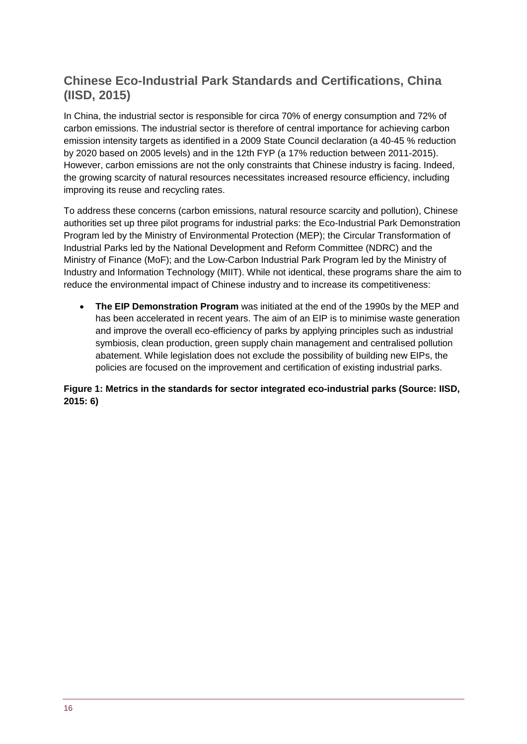### **Chinese Eco-Industrial Park Standards and Certifications, China (IISD, 2015)**

In China, the industrial sector is responsible for circa 70% of energy consumption and 72% of carbon emissions. The industrial sector is therefore of central importance for achieving carbon emission intensity targets as identified in a 2009 State Council declaration (a 40-45 % reduction by 2020 based on 2005 levels) and in the 12th FYP (a 17% reduction between 2011-2015). However, carbon emissions are not the only constraints that Chinese industry is facing. Indeed, the growing scarcity of natural resources necessitates increased resource efficiency, including improving its reuse and recycling rates.

To address these concerns (carbon emissions, natural resource scarcity and pollution), Chinese authorities set up three pilot programs for industrial parks: the Eco-Industrial Park Demonstration Program led by the Ministry of Environmental Protection (MEP); the Circular Transformation of Industrial Parks led by the National Development and Reform Committee (NDRC) and the Ministry of Finance (MoF); and the Low-Carbon Industrial Park Program led by the Ministry of Industry and Information Technology (MIIT). While not identical, these programs share the aim to reduce the environmental impact of Chinese industry and to increase its competitiveness:

 **The EIP Demonstration Program** was initiated at the end of the 1990s by the MEP and has been accelerated in recent years. The aim of an EIP is to minimise waste generation and improve the overall eco-efficiency of parks by applying principles such as industrial symbiosis, clean production, green supply chain management and centralised pollution abatement. While legislation does not exclude the possibility of building new EIPs, the policies are focused on the improvement and certification of existing industrial parks.

**Figure 1: Metrics in the standards for sector integrated eco-industrial parks (Source: IISD, 2015: 6)**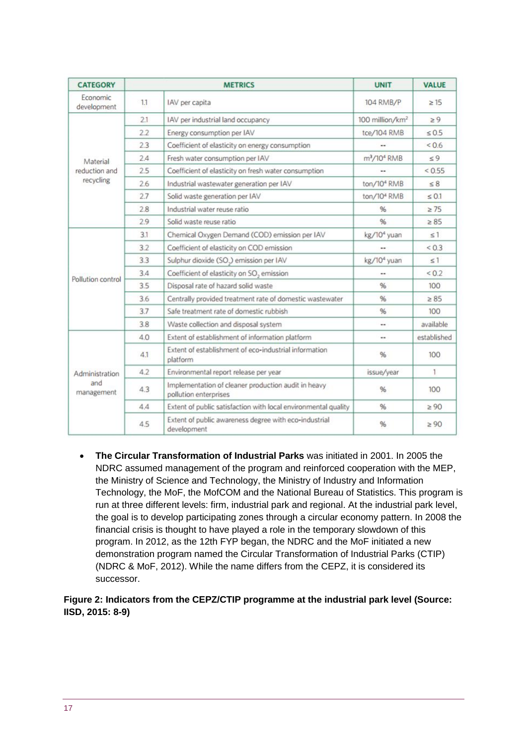| <b>CATEGORY</b>                     |     | <b>METRICS</b>                                                               | <b>UNIT</b>                         | <b>VALUE</b> |
|-------------------------------------|-----|------------------------------------------------------------------------------|-------------------------------------|--------------|
| Economic<br>development             | 11  | IAV per capita                                                               | 104 RMB/P                           | >15          |
|                                     | 21  | IAV per industrial land occupancy                                            | 100 million/km <sup>2</sup>         | $\geq 9$     |
| Material                            | 2.2 | Energy consumption per IAV                                                   | tce/104 RMB                         | $\leq 0.5$   |
|                                     | 23  | Coefficient of elasticity on energy consumption                              | --                                  | <0.6         |
|                                     | 24  | Fresh water consumption per IAV                                              | m <sup>3</sup> /10 <sup>4</sup> RMB | $\leq 9$     |
| reduction and                       | 2.5 | Coefficient of elasticity on fresh water consumption                         | ÷                                   | < 0.55       |
| recycling                           | 2.6 | Industrial wastewater generation per IAV                                     | ton/10 <sup>4</sup> RMB             | &8           |
|                                     | 2.7 | Solid waste generation per IAV                                               | ton/10 <sup>4</sup> RMB             | $\leq 0.1$   |
|                                     | 2.8 | Industrial water reuse ratio                                                 | %                                   | $\geq$ 75    |
|                                     | 2.9 | Solid waste reuse ratio                                                      | %                                   | $\geq 85$    |
|                                     | 3.1 | Chemical Oxygen Demand (COD) emission per IAV                                | kg/10 <sup>4</sup> yuan             | $\leq 1$     |
|                                     | 3.2 | Coefficient of elasticity on COD emission                                    |                                     | ${}_{0.3}$   |
|                                     | 3.3 | Sulphur dioxide (SO.) emission per IAV                                       | kg/10 <sup>4</sup> yuan             | $\leq 1$     |
|                                     | 3.4 | Coefficient of elasticity on SO, emission                                    |                                     | < 0.2        |
| Pollution control                   | 3.5 | Disposal rate of hazard solid waste                                          | %                                   | 100          |
|                                     | 3.6 | Centrally provided treatment rate of domestic wastewater                     | %                                   | $\geq 85$    |
|                                     | 3.7 | Safe treatment rate of domestic rubbish                                      | %                                   | 100          |
|                                     | 3.8 | Waste collection and disposal system                                         | --                                  | available    |
|                                     | 4.0 | Extent of establishment of information platform                              | $\ddotsc$                           | established  |
| Administration<br>and<br>management | 4.1 | Extent of establishment of eco-industrial information<br>platform            | %                                   | 100          |
|                                     | 4.2 | Environmental report release per year                                        | issue/year                          | 1            |
|                                     | 4.3 | Implementation of cleaner production audit in heavy<br>pollution enterprises | %                                   | 100          |
|                                     | 4.4 | Extent of public satisfaction with local environmental quality               | %                                   | $\geq 90$    |
|                                     | 45  | Extent of public awareness degree with eco-industrial<br>development         | %                                   | $\geq 90$    |

 **The Circular Transformation of Industrial Parks** was initiated in 2001. In 2005 the NDRC assumed management of the program and reinforced cooperation with the MEP, the Ministry of Science and Technology, the Ministry of Industry and Information Technology, the MoF, the MofCOM and the National Bureau of Statistics. This program is run at three different levels: firm, industrial park and regional. At the industrial park level, the goal is to develop participating zones through a circular economy pattern. In 2008 the financial crisis is thought to have played a role in the temporary slowdown of this program. In 2012, as the 12th FYP began, the NDRC and the MoF initiated a new demonstration program named the Circular Transformation of Industrial Parks (CTIP) (NDRC & MoF, 2012). While the name differs from the CEPZ, it is considered its successor.

#### **Figure 2: Indicators from the CEPZ/CTIP programme at the industrial park level (Source: IISD, 2015: 8-9)**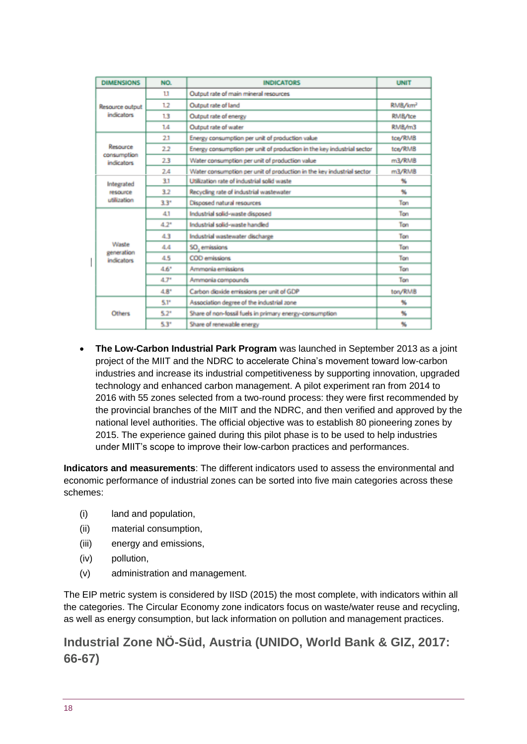| <b>DIMENSIONS</b>                    | NO.       | <b>INDICATORS</b>                                                      | <b>UNIT</b>         |
|--------------------------------------|-----------|------------------------------------------------------------------------|---------------------|
|                                      | 11        | Output rate of main mineral resources                                  |                     |
| Resource output<br><b>indicators</b> | $12^{12}$ | Output rate of land                                                    | RMB/km <sup>2</sup> |
|                                      | 13        | Output rate of energy                                                  | RMB/tce             |
|                                      | 14        | Output rate of water                                                   | RMB/m3              |
|                                      | 21        | Energy consumption per unit of production value                        | tce/RMB             |
| Resource<br>consumption              | 2.2       | Energy consumption per unit of production in the key industrial sector | tce/RMB             |
| <i>indicators</i>                    | 23        | Water consumption per unit of production value                         | m3/RMB              |
| 2.4                                  |           | Water consumption per unit of production in the key industrial sector  | m3/RMB              |
| Integrated                           | 31        | Utilization rate of industrial solid waste                             | 96                  |
| resource                             | 3.2       | Recycling rate of industrial wastewater                                | 96                  |
| utilization                          | 3.3"      | Disposed natural resources                                             | Ton                 |
|                                      | 4.1       | Industrial solid-waste disposed                                        | Ton                 |
| $4.2*$<br>43<br>Waste<br>4.4         |           | Industrial solid-waste handled                                         | Ton                 |
|                                      |           | Industrial wastewater discharge                                        | Ton                 |
|                                      |           | SO, emissions                                                          | Ton                 |
| generation<br><b>indicators</b>      | 4.5       | <b>COD</b> emissions                                                   | Ton                 |
|                                      | 4.6"      | Ammonia emissions                                                      | Ton                 |
|                                      | $4.7*$    | Ammonia compounds                                                      | Ton                 |
|                                      | 4.8"      | Carbon dioxide emissions per unit of GDP                               | ton/RMB             |
|                                      | 5.1*      | Association degree of the industrial zone                              | 96                  |
| <b>Others</b>                        | $5.2*$    | Share of non-fossil fuels in primary energy-consumption                | %                   |
|                                      | 5.3"      | Share of renewable energy                                              | 96                  |

 **The Low-Carbon Industrial Park Program** was launched in September 2013 as a joint project of the MIIT and the NDRC to accelerate China's movement toward low-carbon industries and increase its industrial competitiveness by supporting innovation, upgraded technology and enhanced carbon management. A pilot experiment ran from 2014 to 2016 with 55 zones selected from a two-round process: they were first recommended by the provincial branches of the MIIT and the NDRC, and then verified and approved by the national level authorities. The official objective was to establish 80 pioneering zones by 2015. The experience gained during this pilot phase is to be used to help industries under MIIT's scope to improve their low-carbon practices and performances.

**Indicators and measurements**: The different indicators used to assess the environmental and economic performance of industrial zones can be sorted into five main categories across these schemes:

- (i) land and population,
- (ii) material consumption,
- (iii) energy and emissions,
- (iv) pollution,
- (v) administration and management.

The EIP metric system is considered by IISD (2015) the most complete, with indicators within all the categories. The Circular Economy zone indicators focus on waste/water reuse and recycling, as well as energy consumption, but lack information on pollution and management practices.

### **Industrial Zone NÖ-Süd, Austria (UNIDO, World Bank & GIZ, 2017: 66-67)**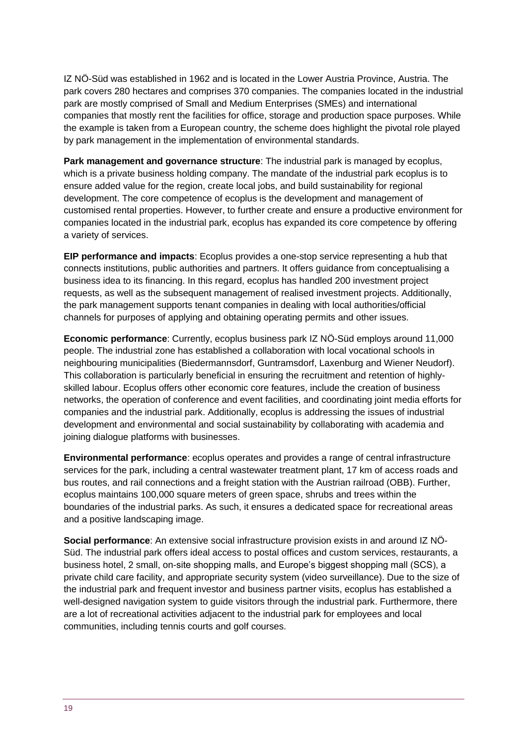IZ NÖ-Süd was established in 1962 and is located in the Lower Austria Province, Austria. The park covers 280 hectares and comprises 370 companies. The companies located in the industrial park are mostly comprised of Small and Medium Enterprises (SMEs) and international companies that mostly rent the facilities for office, storage and production space purposes. While the example is taken from a European country, the scheme does highlight the pivotal role played by park management in the implementation of environmental standards.

**Park management and governance structure**: The industrial park is managed by ecoplus, which is a private business holding company. The mandate of the industrial park ecoplus is to ensure added value for the region, create local jobs, and build sustainability for regional development. The core competence of ecoplus is the development and management of customised rental properties. However, to further create and ensure a productive environment for companies located in the industrial park, ecoplus has expanded its core competence by offering a variety of services.

**EIP performance and impacts**: Ecoplus provides a one-stop service representing a hub that connects institutions, public authorities and partners. It offers guidance from conceptualising a business idea to its financing. In this regard, ecoplus has handled 200 investment project requests, as well as the subsequent management of realised investment projects. Additionally, the park management supports tenant companies in dealing with local authorities/official channels for purposes of applying and obtaining operating permits and other issues.

**Economic performance**: Currently, ecoplus business park IZ NÖ-Süd employs around 11,000 people. The industrial zone has established a collaboration with local vocational schools in neighbouring municipalities (Biedermannsdorf, Guntramsdorf, Laxenburg and Wiener Neudorf). This collaboration is particularly beneficial in ensuring the recruitment and retention of highlyskilled labour. Ecoplus offers other economic core features, include the creation of business networks, the operation of conference and event facilities, and coordinating joint media efforts for companies and the industrial park. Additionally, ecoplus is addressing the issues of industrial development and environmental and social sustainability by collaborating with academia and joining dialogue platforms with businesses.

**Environmental performance**: ecoplus operates and provides a range of central infrastructure services for the park, including a central wastewater treatment plant, 17 km of access roads and bus routes, and rail connections and a freight station with the Austrian railroad (OBB). Further, ecoplus maintains 100,000 square meters of green space, shrubs and trees within the boundaries of the industrial parks. As such, it ensures a dedicated space for recreational areas and a positive landscaping image.

**Social performance**: An extensive social infrastructure provision exists in and around IZ NÖ-Süd. The industrial park offers ideal access to postal offices and custom services, restaurants, a business hotel, 2 small, on-site shopping malls, and Europe's biggest shopping mall (SCS), a private child care facility, and appropriate security system (video surveillance). Due to the size of the industrial park and frequent investor and business partner visits, ecoplus has established a well-designed navigation system to guide visitors through the industrial park. Furthermore, there are a lot of recreational activities adjacent to the industrial park for employees and local communities, including tennis courts and golf courses.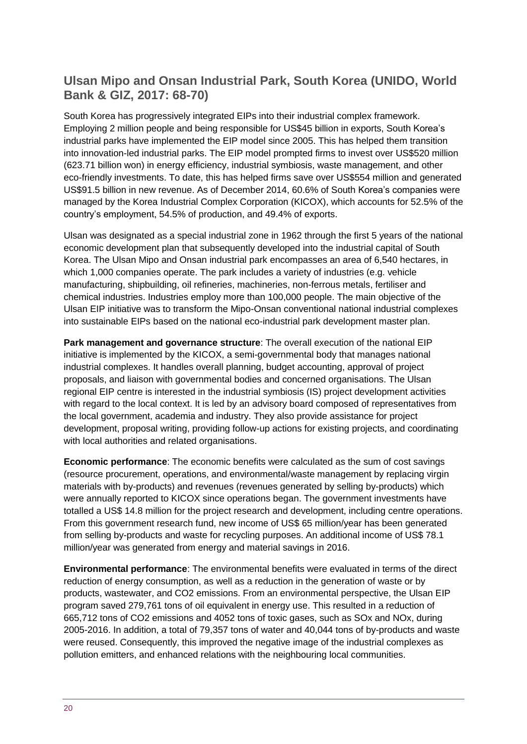### **Ulsan Mipo and Onsan Industrial Park, South Korea (UNIDO, World Bank & GIZ, 2017: 68-70)**

South Korea has progressively integrated EIPs into their industrial complex framework. Employing 2 million people and being responsible for US\$45 billion in exports, South Korea's industrial parks have implemented the EIP model since 2005. This has helped them transition into innovation-led industrial parks. The EIP model prompted firms to invest over US\$520 million (623.71 billion won) in energy efficiency, industrial symbiosis, waste management, and other eco-friendly investments. To date, this has helped firms save over US\$554 million and generated US\$91.5 billion in new revenue. As of December 2014, 60.6% of South Korea's companies were managed by the Korea Industrial Complex Corporation (KICOX), which accounts for 52.5% of the country's employment, 54.5% of production, and 49.4% of exports.

Ulsan was designated as a special industrial zone in 1962 through the first 5 years of the national economic development plan that subsequently developed into the industrial capital of South Korea. The Ulsan Mipo and Onsan industrial park encompasses an area of 6,540 hectares, in which 1,000 companies operate. The park includes a variety of industries (e.g. vehicle manufacturing, shipbuilding, oil refineries, machineries, non-ferrous metals, fertiliser and chemical industries. Industries employ more than 100,000 people. The main objective of the Ulsan EIP initiative was to transform the Mipo-Onsan conventional national industrial complexes into sustainable EIPs based on the national eco-industrial park development master plan.

**Park management and governance structure**: The overall execution of the national EIP initiative is implemented by the KICOX, a semi-governmental body that manages national industrial complexes. It handles overall planning, budget accounting, approval of project proposals, and liaison with governmental bodies and concerned organisations. The Ulsan regional EIP centre is interested in the industrial symbiosis (IS) project development activities with regard to the local context. It is led by an advisory board composed of representatives from the local government, academia and industry. They also provide assistance for project development, proposal writing, providing follow-up actions for existing projects, and coordinating with local authorities and related organisations.

**Economic performance**: The economic benefits were calculated as the sum of cost savings (resource procurement, operations, and environmental/waste management by replacing virgin materials with by-products) and revenues (revenues generated by selling by-products) which were annually reported to KICOX since operations began. The government investments have totalled a US\$ 14.8 million for the project research and development, including centre operations. From this government research fund, new income of US\$ 65 million/year has been generated from selling by-products and waste for recycling purposes. An additional income of US\$ 78.1 million/year was generated from energy and material savings in 2016.

**Environmental performance**: The environmental benefits were evaluated in terms of the direct reduction of energy consumption, as well as a reduction in the generation of waste or by products, wastewater, and CO2 emissions. From an environmental perspective, the Ulsan EIP program saved 279,761 tons of oil equivalent in energy use. This resulted in a reduction of 665,712 tons of CO2 emissions and 4052 tons of toxic gases, such as SOx and NOx, during 2005-2016. In addition, a total of 79,357 tons of water and 40,044 tons of by-products and waste were reused. Consequently, this improved the negative image of the industrial complexes as pollution emitters, and enhanced relations with the neighbouring local communities.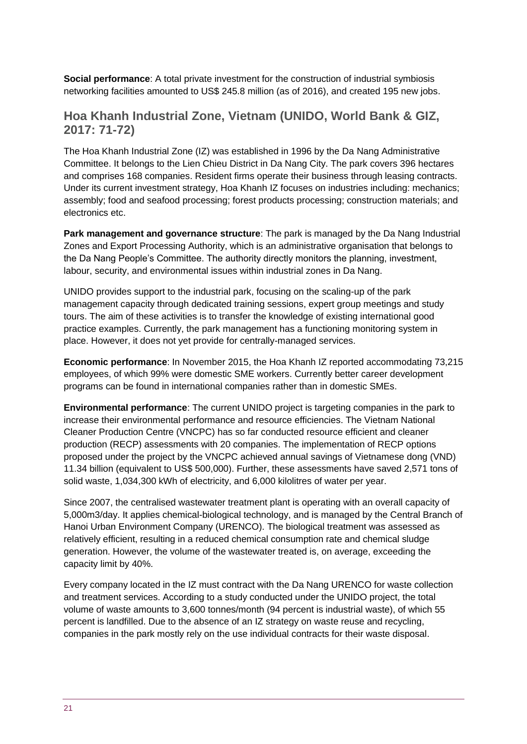**Social performance**: A total private investment for the construction of industrial symbiosis networking facilities amounted to US\$ 245.8 million (as of 2016), and created 195 new jobs.

#### **Hoa Khanh Industrial Zone, Vietnam (UNIDO, World Bank & GIZ, 2017: 71-72)**

The Hoa Khanh Industrial Zone (IZ) was established in 1996 by the Da Nang Administrative Committee. It belongs to the Lien Chieu District in Da Nang City. The park covers 396 hectares and comprises 168 companies. Resident firms operate their business through leasing contracts. Under its current investment strategy, Hoa Khanh IZ focuses on industries including: mechanics; assembly; food and seafood processing; forest products processing; construction materials; and electronics etc.

**Park management and governance structure**: The park is managed by the Da Nang Industrial Zones and Export Processing Authority, which is an administrative organisation that belongs to the Da Nang People's Committee. The authority directly monitors the planning, investment, labour, security, and environmental issues within industrial zones in Da Nang.

UNIDO provides support to the industrial park, focusing on the scaling-up of the park management capacity through dedicated training sessions, expert group meetings and study tours. The aim of these activities is to transfer the knowledge of existing international good practice examples. Currently, the park management has a functioning monitoring system in place. However, it does not yet provide for centrally-managed services.

**Economic performance**: In November 2015, the Hoa Khanh IZ reported accommodating 73,215 employees, of which 99% were domestic SME workers. Currently better career development programs can be found in international companies rather than in domestic SMEs.

**Environmental performance**: The current UNIDO project is targeting companies in the park to increase their environmental performance and resource efficiencies. The Vietnam National Cleaner Production Centre (VNCPC) has so far conducted resource efficient and cleaner production (RECP) assessments with 20 companies. The implementation of RECP options proposed under the project by the VNCPC achieved annual savings of Vietnamese dong (VND) 11.34 billion (equivalent to US\$ 500,000). Further, these assessments have saved 2,571 tons of solid waste, 1,034,300 kWh of electricity, and 6,000 kilolitres of water per year.

Since 2007, the centralised wastewater treatment plant is operating with an overall capacity of 5,000m3/day. It applies chemical-biological technology, and is managed by the Central Branch of Hanoi Urban Environment Company (URENCO). The biological treatment was assessed as relatively efficient, resulting in a reduced chemical consumption rate and chemical sludge generation. However, the volume of the wastewater treated is, on average, exceeding the capacity limit by 40%.

Every company located in the IZ must contract with the Da Nang URENCO for waste collection and treatment services. According to a study conducted under the UNIDO project, the total volume of waste amounts to 3,600 tonnes/month (94 percent is industrial waste), of which 55 percent is landfilled. Due to the absence of an IZ strategy on waste reuse and recycling, companies in the park mostly rely on the use individual contracts for their waste disposal.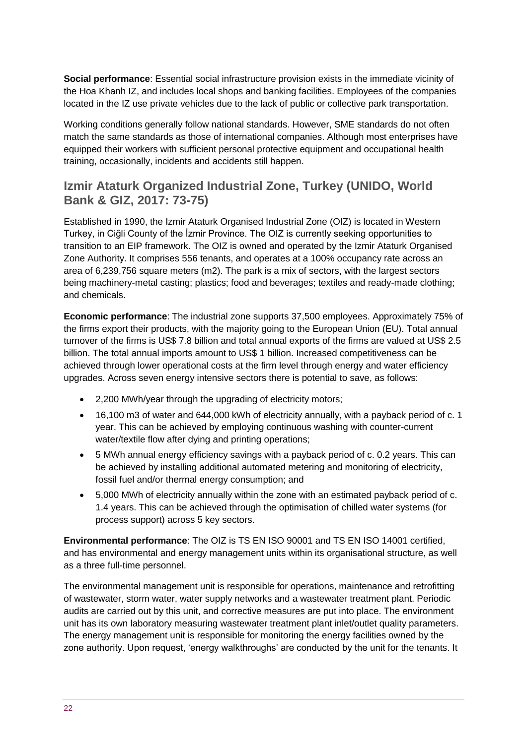**Social performance**: Essential social infrastructure provision exists in the immediate vicinity of the Hoa Khanh IZ, and includes local shops and banking facilities. Employees of the companies located in the IZ use private vehicles due to the lack of public or collective park transportation.

Working conditions generally follow national standards. However, SME standards do not often match the same standards as those of international companies. Although most enterprises have equipped their workers with sufficient personal protective equipment and occupational health training, occasionally, incidents and accidents still happen.

#### **Izmir Ataturk Organized Industrial Zone, Turkey (UNIDO, World Bank & GIZ, 2017: 73-75)**

Established in 1990, the Izmir Ataturk Organised Industrial Zone (OIZ) is located in Western Turkey, in Ciğli County of the İzmir Province. The OIZ is currently seeking opportunities to transition to an EIP framework. The OIZ is owned and operated by the Izmir Ataturk Organised Zone Authority. It comprises 556 tenants, and operates at a 100% occupancy rate across an area of 6,239,756 square meters (m2). The park is a mix of sectors, with the largest sectors being machinery-metal casting; plastics; food and beverages; textiles and ready-made clothing; and chemicals.

**Economic performance**: The industrial zone supports 37,500 employees. Approximately 75% of the firms export their products, with the majority going to the European Union (EU). Total annual turnover of the firms is US\$ 7.8 billion and total annual exports of the firms are valued at US\$ 2.5 billion. The total annual imports amount to US\$ 1 billion. Increased competitiveness can be achieved through lower operational costs at the firm level through energy and water efficiency upgrades. Across seven energy intensive sectors there is potential to save, as follows:

- 2,200 MWh/year through the upgrading of electricity motors;
- 16,100 m3 of water and 644,000 kWh of electricity annually, with a payback period of c. 1 year. This can be achieved by employing continuous washing with counter-current water/textile flow after dying and printing operations;
- 5 MWh annual energy efficiency savings with a payback period of c. 0.2 years. This can be achieved by installing additional automated metering and monitoring of electricity, fossil fuel and/or thermal energy consumption; and
- 5,000 MWh of electricity annually within the zone with an estimated payback period of c. 1.4 years. This can be achieved through the optimisation of chilled water systems (for process support) across 5 key sectors.

**Environmental performance**: The OIZ is TS EN ISO 90001 and TS EN ISO 14001 certified, and has environmental and energy management units within its organisational structure, as well as a three full-time personnel.

The environmental management unit is responsible for operations, maintenance and retrofitting of wastewater, storm water, water supply networks and a wastewater treatment plant. Periodic audits are carried out by this unit, and corrective measures are put into place. The environment unit has its own laboratory measuring wastewater treatment plant inlet/outlet quality parameters. The energy management unit is responsible for monitoring the energy facilities owned by the zone authority. Upon request, 'energy walkthroughs' are conducted by the unit for the tenants. It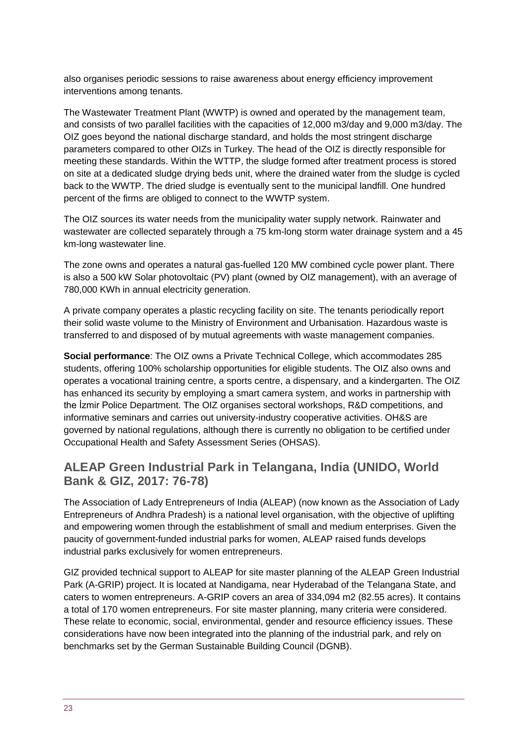also organises periodic sessions to raise awareness about energy efficiency improvement interventions among tenants.

The Wastewater Treatment Plant (WWTP) is owned and operated by the management team, and consists of two parallel facilities with the capacities of 12,000 m3/day and 9,000 m3/day. The OIZ goes beyond the national discharge standard, and holds the most stringent discharge parameters compared to other OIZs in Turkey. The head of the OIZ is directly responsible for meeting these standards. Within the WTTP, the sludge formed after treatment process is stored on site at a dedicated sludge drying beds unit, where the drained water from the sludge is cycled back to the WWTP. The dried sludge is eventually sent to the municipal landfill. One hundred percent of the firms are obliged to connect to the WWTP system.

The OIZ sources its water needs from the municipality water supply network. Rainwater and wastewater are collected separately through a 75 km-long storm water drainage system and a 45 km-long wastewater line.

The zone owns and operates a natural gas-fuelled 120 MW combined cycle power plant. There is also a 500 kW Solar photovoltaic (PV) plant (owned by OIZ management), with an average of 780,000 KWh in annual electricity generation.

A private company operates a plastic recycling facility on site. The tenants periodically report their solid waste volume to the Ministry of Environment and Urbanisation. Hazardous waste is transferred to and disposed of by mutual agreements with waste management companies.

**Social performance**: The OIZ owns a Private Technical College, which accommodates 285 students, offering 100% scholarship opportunities for eligible students. The OIZ also owns and operates a vocational training centre, a sports centre, a dispensary, and a kindergarten. The OIZ has enhanced its security by employing a smart camera system, and works in partnership with the İzmir Police Department. The OIZ organises sectoral workshops, R&D competitions, and informative seminars and carries out university-industry cooperative activities. OH&S are governed by national regulations, although there is currently no obligation to be certified under Occupational Health and Safety Assessment Series (OHSAS).

#### **ALEAP Green Industrial Park in Telangana, India (UNIDO, World Bank & GIZ, 2017: 76-78)**

The Association of Lady Entrepreneurs of India (ALEAP) (now known as the Association of Lady Entrepreneurs of Andhra Pradesh) is a national level organisation, with the objective of uplifting and empowering women through the establishment of small and medium enterprises. Given the paucity of government-funded industrial parks for women, ALEAP raised funds develops industrial parks exclusively for women entrepreneurs.

GIZ provided technical support to ALEAP for site master planning of the ALEAP Green Industrial Park (A-GRIP) project. It is located at Nandigama, near Hyderabad of the Telangana State, and caters to women entrepreneurs. A-GRIP covers an area of 334,094 m2 (82.55 acres). It contains a total of 170 women entrepreneurs. For site master planning, many criteria were considered. These relate to economic, social, environmental, gender and resource efficiency issues. These considerations have now been integrated into the planning of the industrial park, and rely on benchmarks set by the German Sustainable Building Council (DGNB).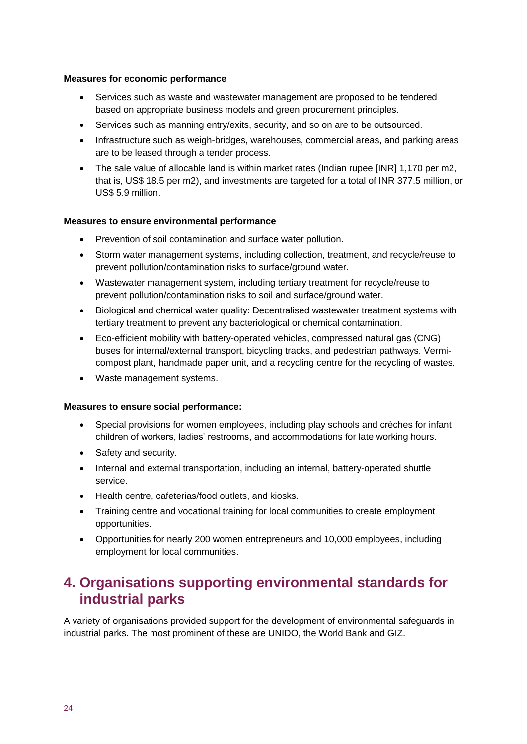#### **Measures for economic performance**

- Services such as waste and wastewater management are proposed to be tendered based on appropriate business models and green procurement principles.
- Services such as manning entry/exits, security, and so on are to be outsourced.
- Infrastructure such as weigh-bridges, warehouses, commercial areas, and parking areas are to be leased through a tender process.
- The sale value of allocable land is within market rates (Indian rupee [INR] 1,170 per m2, that is, US\$ 18.5 per m2), and investments are targeted for a total of INR 377.5 million, or US\$ 5.9 million.

#### **Measures to ensure environmental performance**

- Prevention of soil contamination and surface water pollution.
- Storm water management systems, including collection, treatment, and recycle/reuse to prevent pollution/contamination risks to surface/ground water.
- Wastewater management system, including tertiary treatment for recycle/reuse to prevent pollution/contamination risks to soil and surface/ground water.
- Biological and chemical water quality: Decentralised wastewater treatment systems with tertiary treatment to prevent any bacteriological or chemical contamination.
- Eco-efficient mobility with battery-operated vehicles, compressed natural gas (CNG) buses for internal/external transport, bicycling tracks, and pedestrian pathways. Vermicompost plant, handmade paper unit, and a recycling centre for the recycling of wastes.
- Waste management systems.

#### **Measures to ensure social performance:**

- Special provisions for women employees, including play schools and crèches for infant children of workers, ladies' restrooms, and accommodations for late working hours.
- Safety and security.
- Internal and external transportation, including an internal, battery-operated shuttle service.
- Health centre, cafeterias/food outlets, and kiosks.
- Training centre and vocational training for local communities to create employment opportunities.
- Opportunities for nearly 200 women entrepreneurs and 10,000 employees, including employment for local communities.

### <span id="page-23-0"></span>**4. Organisations supporting environmental standards for industrial parks**

A variety of organisations provided support for the development of environmental safeguards in industrial parks. The most prominent of these are UNIDO, the World Bank and GIZ.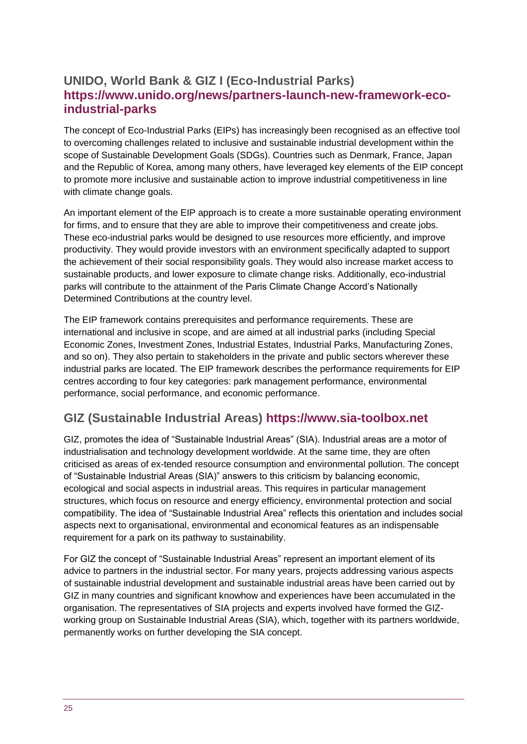#### **UNIDO, World Bank & GIZ I (Eco-Industrial Parks) [https://www.unido.org/news/partners-launch-new-framework-eco](https://www.unido.org/news/partners-launch-new-framework-eco-industrial-parks)[industrial-parks](https://www.unido.org/news/partners-launch-new-framework-eco-industrial-parks)**

The concept of Eco-Industrial Parks (EIPs) has increasingly been recognised as an effective tool to overcoming challenges related to inclusive and sustainable industrial development within the scope of Sustainable Development Goals (SDGs). Countries such as Denmark, France, Japan and the Republic of Korea, among many others, have leveraged key elements of the EIP concept to promote more inclusive and sustainable action to improve industrial competitiveness in line with climate change goals.

An important element of the EIP approach is to create a more sustainable operating environment for firms, and to ensure that they are able to improve their competitiveness and create jobs. These eco-industrial parks would be designed to use resources more efficiently, and improve productivity. They would provide investors with an environment specifically adapted to support the achievement of their social responsibility goals. They would also increase market access to sustainable products, and lower exposure to climate change risks. Additionally, eco-industrial parks will contribute to the attainment of the Paris Climate Change Accord's Nationally Determined Contributions at the country level.

The EIP framework contains prerequisites and performance requirements. These are international and inclusive in scope, and are aimed at all industrial parks (including Special Economic Zones, Investment Zones, Industrial Estates, Industrial Parks, Manufacturing Zones, and so on). They also pertain to stakeholders in the private and public sectors wherever these industrial parks are located. The EIP framework describes the performance requirements for EIP centres according to four key categories: park management performance, environmental performance, social performance, and economic performance.

### **GIZ (Sustainable Industrial Areas) [https://www.sia-toolbox.net](https://www.sia-toolbox.net/)**

GIZ, promotes the idea of "Sustainable Industrial Areas" (SIA). Industrial areas are a motor of industrialisation and technology development worldwide. At the same time, they are often criticised as areas of ex-tended resource consumption and environmental pollution. The concept of "Sustainable Industrial Areas (SIA)" answers to this criticism by balancing economic, ecological and social aspects in industrial areas. This requires in particular management structures, which focus on resource and energy efficiency, environmental protection and social compatibility. The idea of "Sustainable Industrial Area" reflects this orientation and includes social aspects next to organisational, environmental and economical features as an indispensable requirement for a park on its pathway to sustainability.

For GIZ the concept of "Sustainable Industrial Areas" represent an important element of its advice to partners in the industrial sector. For many years, projects addressing various aspects of sustainable industrial development and sustainable industrial areas have been carried out by GIZ in many countries and significant knowhow and experiences have been accumulated in the organisation. The representatives of SIA projects and experts involved have formed the GIZworking group on Sustainable Industrial Areas (SIA), which, together with its partners worldwide, permanently works on further developing the SIA concept.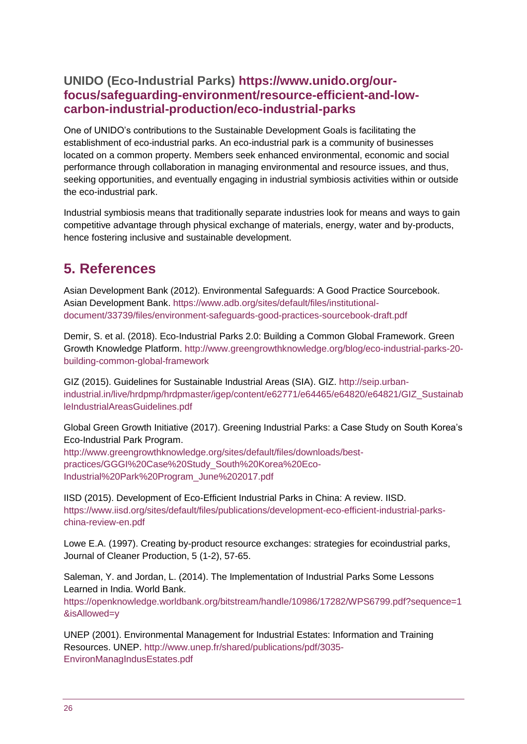#### **UNIDO (Eco-Industrial Parks) [https://www.unido.org/our](https://www.unido.org/our-focus/safeguarding-environment/resource-efficient-and-low-carbon-industrial-production/eco-industrial-parks)[focus/safeguarding-environment/resource-efficient-and-low](https://www.unido.org/our-focus/safeguarding-environment/resource-efficient-and-low-carbon-industrial-production/eco-industrial-parks)[carbon-industrial-production/eco-industrial-parks](https://www.unido.org/our-focus/safeguarding-environment/resource-efficient-and-low-carbon-industrial-production/eco-industrial-parks)**

One of UNIDO's contributions to the Sustainable Development Goals is facilitating the establishment of eco-industrial parks. An eco-industrial park is a community of businesses located on a common property. Members seek enhanced environmental, economic and social performance through collaboration in managing environmental and resource issues, and thus, seeking opportunities, and eventually engaging in industrial symbiosis activities within or outside the eco-industrial park.

Industrial symbiosis means that traditionally separate industries look for means and ways to gain competitive advantage through physical exchange of materials, energy, water and by-products, hence fostering inclusive and sustainable development.

## <span id="page-25-0"></span>**5. References**

Asian Development Bank (2012). Environmental Safeguards: A Good Practice Sourcebook. Asian Development Bank. [https://www.adb.org/sites/default/files/institutional](https://www.adb.org/sites/default/files/institutional-document/33739/files/environment-safeguards-good-practices-sourcebook-draft.pdf)[document/33739/files/environment-safeguards-good-practices-sourcebook-draft.pdf](https://www.adb.org/sites/default/files/institutional-document/33739/files/environment-safeguards-good-practices-sourcebook-draft.pdf)

Demir, S. et al. (2018). Eco-Industrial Parks 2.0: Building a Common Global Framework. Green Growth Knowledge Platform. [http://www.greengrowthknowledge.org/blog/eco-industrial-parks-20](http://www.greengrowthknowledge.org/blog/eco-industrial-parks-20-building-common-global-framework) [building-common-global-framework](http://www.greengrowthknowledge.org/blog/eco-industrial-parks-20-building-common-global-framework)

GIZ (2015). Guidelines for Sustainable Industrial Areas (SIA). GIZ. [http://seip.urban](http://seip.urban-industrial.in/live/hrdpmp/hrdpmaster/igep/content/e62771/e64465/e64820/e64821/GIZ_SustainableIndustrialAreasGuidelines.pdf)[industrial.in/live/hrdpmp/hrdpmaster/igep/content/e62771/e64465/e64820/e64821/GIZ\\_Sustainab](http://seip.urban-industrial.in/live/hrdpmp/hrdpmaster/igep/content/e62771/e64465/e64820/e64821/GIZ_SustainableIndustrialAreasGuidelines.pdf) [leIndustrialAreasGuidelines.pdf](http://seip.urban-industrial.in/live/hrdpmp/hrdpmaster/igep/content/e62771/e64465/e64820/e64821/GIZ_SustainableIndustrialAreasGuidelines.pdf)

Global Green Growth Initiative (2017). Greening Industrial Parks: a Case Study on South Korea's Eco-Industrial Park Program.

[http://www.greengrowthknowledge.org/sites/default/files/downloads/best](http://www.greengrowthknowledge.org/sites/default/files/downloads/best-practices/GGGI%20Case%20Study_South%20Korea%20Eco-Industrial%20Park%20Program_June%202017.pdf)[practices/GGGI%20Case%20Study\\_South%20Korea%20Eco-](http://www.greengrowthknowledge.org/sites/default/files/downloads/best-practices/GGGI%20Case%20Study_South%20Korea%20Eco-Industrial%20Park%20Program_June%202017.pdf)[Industrial%20Park%20Program\\_June%202017.pdf](http://www.greengrowthknowledge.org/sites/default/files/downloads/best-practices/GGGI%20Case%20Study_South%20Korea%20Eco-Industrial%20Park%20Program_June%202017.pdf)

IISD (2015). Development of Eco-Efficient Industrial Parks in China: A review. IISD. [https://www.iisd.org/sites/default/files/publications/development-eco-efficient-industrial-parks](https://www.iisd.org/sites/default/files/publications/development-eco-efficient-industrial-parks-china-review-en.pdf)[china-review-en.pdf](https://www.iisd.org/sites/default/files/publications/development-eco-efficient-industrial-parks-china-review-en.pdf)

Lowe E.A. (1997). Creating by-product resource exchanges: strategies for ecoindustrial parks, Journal of Cleaner Production, 5 (1-2), 57-65.

Saleman, Y. and Jordan, L. (2014). The Implementation of Industrial Parks Some Lessons Learned in India. World Bank. [https://openknowledge.worldbank.org/bitstream/handle/10986/17282/WPS6799.pdf?sequence=1](https://openknowledge.worldbank.org/bitstream/handle/10986/17282/WPS6799.pdf?sequence=1&isAllowed=y) [&isAllowed=y](https://openknowledge.worldbank.org/bitstream/handle/10986/17282/WPS6799.pdf?sequence=1&isAllowed=y)

UNEP (2001). Environmental Management for Industrial Estates: Information and Training Resources. UNEP. [http://www.unep.fr/shared/publications/pdf/3035-](http://www.unep.fr/shared/publications/pdf/3035-EnvironManagIndusEstates.pdf) [EnvironManagIndusEstates.pdf](http://www.unep.fr/shared/publications/pdf/3035-EnvironManagIndusEstates.pdf)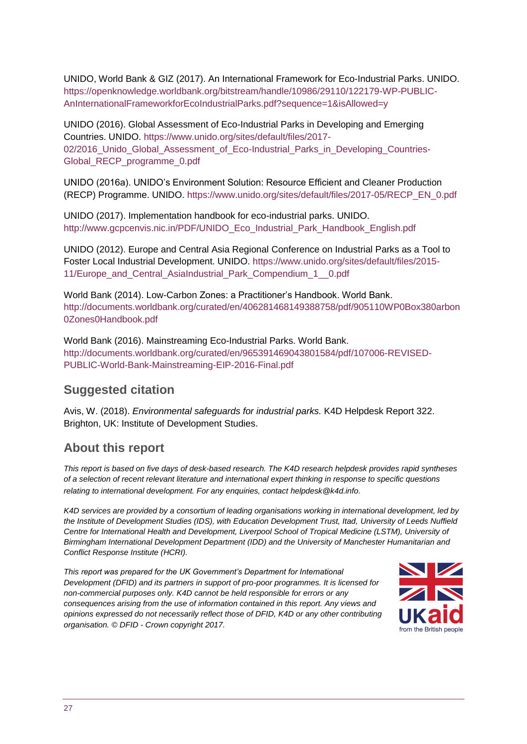UNIDO, World Bank & GIZ (2017). An International Framework for Eco-Industrial Parks. UNIDO. [https://openknowledge.worldbank.org/bitstream/handle/10986/29110/122179-WP-PUBLIC-](https://openknowledge.worldbank.org/bitstream/handle/10986/29110/122179-WP-PUBLIC-AnInternationalFrameworkforEcoIndustrialParks.pdf?sequence=1&isAllowed=y)[AnInternationalFrameworkforEcoIndustrialParks.pdf?sequence=1&isAllowed=y](https://openknowledge.worldbank.org/bitstream/handle/10986/29110/122179-WP-PUBLIC-AnInternationalFrameworkforEcoIndustrialParks.pdf?sequence=1&isAllowed=y)

UNIDO (2016). Global Assessment of Eco-Industrial Parks in Developing and Emerging Countries. UNIDO. [https://www.unido.org/sites/default/files/2017-](https://www.unido.org/sites/default/files/2017-02/2016_Unido_Global_Assessment_of_Eco-Industrial_Parks_in_Developing_Countries-Global_RECP_programme_0.pdf) 02/2016 Unido Global Assessment of Eco-Industrial Parks in Developing Countries-[Global\\_RECP\\_programme\\_0.pdf](https://www.unido.org/sites/default/files/2017-02/2016_Unido_Global_Assessment_of_Eco-Industrial_Parks_in_Developing_Countries-Global_RECP_programme_0.pdf)

UNIDO (2016a). UNIDO's Environment Solution: Resource Efficient and Cleaner Production (RECP) Programme. UNIDO. [https://www.unido.org/sites/default/files/2017-05/RECP\\_EN\\_0.pdf](https://www.unido.org/sites/default/files/2017-05/RECP_EN_0.pdf)

UNIDO (2017). Implementation handbook for eco-industrial parks. UNIDO. [http://www.gcpcenvis.nic.in/PDF/UNIDO\\_Eco\\_Industrial\\_Park\\_Handbook\\_English.pdf](http://www.gcpcenvis.nic.in/PDF/UNIDO_Eco_Industrial_Park_Handbook_English.pdf)

UNIDO (2012). Europe and Central Asia Regional Conference on Industrial Parks as a Tool to Foster Local Industrial Development. UNIDO. [https://www.unido.org/sites/default/files/2015-](https://www.unido.org/sites/default/files/2015-11/Europe_and_Central_AsiaIndustrial_Park_Compendium_1__0.pdf) [11/Europe\\_and\\_Central\\_AsiaIndustrial\\_Park\\_Compendium\\_1\\_\\_0.pdf](https://www.unido.org/sites/default/files/2015-11/Europe_and_Central_AsiaIndustrial_Park_Compendium_1__0.pdf)

World Bank (2014). Low-Carbon Zones: a Practitioner's Handbook. World Bank. [http://documents.worldbank.org/curated/en/406281468149388758/pdf/905110WP0Box380arbon](http://documents.worldbank.org/curated/en/406281468149388758/pdf/905110WP0Box380arbon0Zones0Handbook.pdf) [0Zones0Handbook.pdf](http://documents.worldbank.org/curated/en/406281468149388758/pdf/905110WP0Box380arbon0Zones0Handbook.pdf)

World Bank (2016). Mainstreaming Eco-Industrial Parks. World Bank. [http://documents.worldbank.org/curated/en/965391469043801584/pdf/107006-REVISED-](http://documents.worldbank.org/curated/en/965391469043801584/pdf/107006-REVISED-PUBLIC-World-Bank-Mainstreaming-EIP-2016-Final.pdf)[PUBLIC-World-Bank-Mainstreaming-EIP-2016-Final.pdf](http://documents.worldbank.org/curated/en/965391469043801584/pdf/107006-REVISED-PUBLIC-World-Bank-Mainstreaming-EIP-2016-Final.pdf)

### **Suggested citation**

Avis, W. (2018). *Environmental safeguards for industrial parks.* K4D Helpdesk Report 322. Brighton, UK: Institute of Development Studies.

### **About this report**

*This report is based on five days of desk-based research. The K4D research helpdesk provides rapid syntheses of a selection of recent relevant literature and international expert thinking in response to specific questions relating to international development. For any enquiries, contact helpdesk@k4d.info.*

*K4D services are provided by a consortium of leading organisations working in international development, led by the Institute of Development Studies (IDS), with Education Development Trust, Itad, University of Leeds Nuffield*  Centre for International Health and Development, Liverpool School of Tropical Medicine (LSTM), University of *Birmingham International Development Department (IDD) and the University of Manchester Humanitarian and Conflict Response Institute (HCRI).*

*This report was prepared for the UK Government's Department for International Development (DFID) and its partners in support of pro-poor programmes. It is licensed for non-commercial purposes only. K4D cannot be held responsible for errors or any consequences arising from the use of information contained in this report. Any views and opinions expressed do not necessarily reflect those of DFID, K4D or any other contributing organisation. © DFID - Crown copyright 2017.*